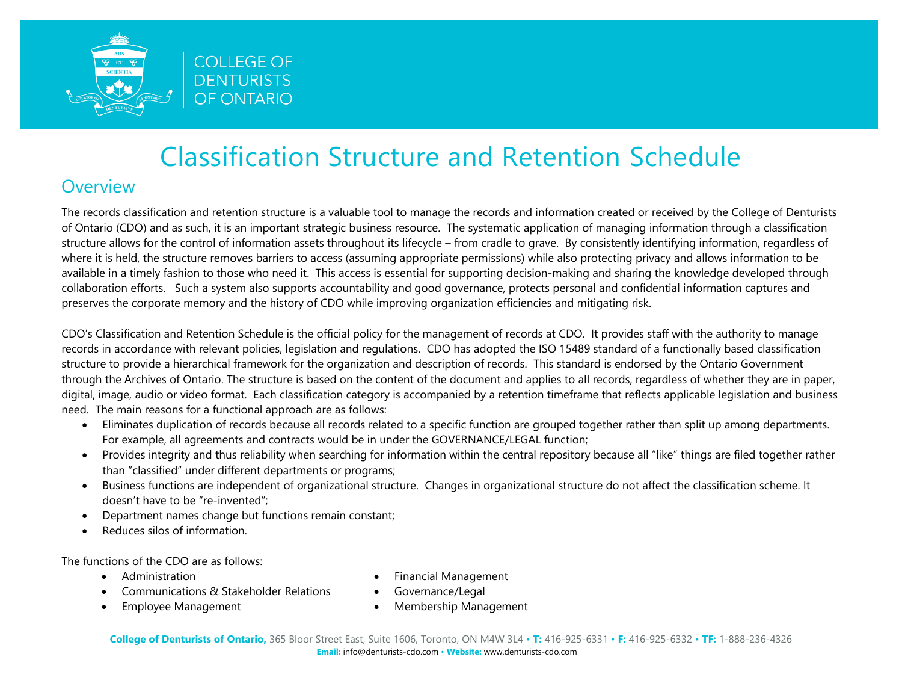

### **Overview**

The records classification and retention structure is a valuable tool to manage the records and information created or received by the College of Denturists of Ontario (CDO) and as such, it is an important strategic business resource. The systematic application of managing information through a classification structure allows for the control of information assets throughout its lifecycle – from cradle to grave. By consistently identifying information, regardless of where it is held, the structure removes barriers to access (assuming appropriate permissions) while also protecting privacy and allows information to be available in a timely fashion to those who need it. This access is essential for supporting decision-making and sharing the knowledge developed through collaboration efforts. Such a system also supports accountability and good governance, protects personal and confidential information captures and preserves the corporate memory and the history of CDO while improving organization efficiencies and mitigating risk.

CDO's Classification and Retention Schedule is the official policy for the management of records at CDO. It provides staff with the authority to manage records in accordance with relevant policies, legislation and regulations. CDO has adopted the ISO 15489 standard of a functionally based classification structure to provide a hierarchical framework for the organization and description of records. This standard is endorsed by the Ontario Government through the Archives of Ontario. The structure is based on the content of the document and applies to all records, regardless of whether they are in paper, digital, image, audio or video format. Each classification category is accompanied by a retention timeframe that reflects applicable legislation and business need. The main reasons for a functional approach are as follows:

- Eliminates duplication of records because all records related to a specific function are grouped together rather than split up among departments. For example, all agreements and contracts would be in under the GOVERNANCE/LEGAL function;
- Provides integrity and thus reliability when searching for information within the central repository because all "like" things are filed together rather than "classified" under different departments or programs;
- Business functions are independent of organizational structure. Changes in organizational structure do not affect the classification scheme. It doesn't have to be "re-invented";
- Department names change but functions remain constant;
- Reduces silos of information.

The functions of the CDO are as follows:

• Administration

- Financial Management
- Communications & Stakeholder Relations
	- Governance/Legal

• Employee Management

• Membership Management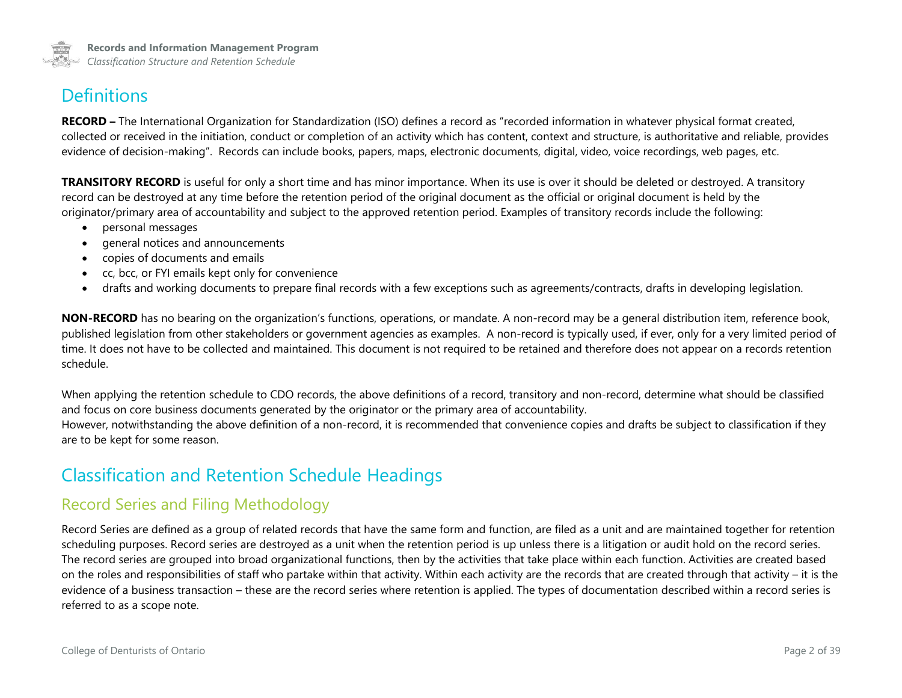

### **Definitions**

**RECORD –** The International Organization for Standardization (ISO) defines a record as "recorded information in whatever physical format created, collected or received in the initiation, conduct or completion of an activity which has content, context and structure, is authoritative and reliable, provides evidence of decision-making". Records can include books, papers, maps, electronic documents, digital, video, voice recordings, web pages, etc.

**TRANSITORY RECORD** is useful for only a short time and has minor importance. When its use is over it should be deleted or destroyed. A transitory record can be destroyed at any time before the retention period of the original document as the official or original document is held by the originator/primary area of accountability and subject to the approved retention period. Examples of transitory records include the following:

- personal messages
- general notices and announcements
- copies of documents and emails
- cc, bcc, or FYI emails kept only for convenience
- drafts and working documents to prepare final records with a few exceptions such as agreements/contracts, drafts in developing legislation.

**NON-RECORD** has no bearing on the organization's functions, operations, or mandate. A non-record may be a general distribution item, reference book, published legislation from other stakeholders or government agencies as examples. A non-record is typically used, if ever, only for a very limited period of time. It does not have to be collected and maintained. This document is not required to be retained and therefore does not appear on a records retention schedule.

When applying the retention schedule to CDO records, the above definitions of a record, transitory and non-record, determine what should be classified and focus on core business documents generated by the originator or the primary area of accountability. However, notwithstanding the above definition of a non-record, it is recommended that convenience copies and drafts be subject to classification if they are to be kept for some reason.

### Classification and Retention Schedule Headings

#### Record Series and Filing Methodology

Record Series are defined as a group of related records that have the same form and function, are filed as a unit and are maintained together for retention scheduling purposes. Record series are destroyed as a unit when the retention period is up unless there is a litigation or audit hold on the record series. The record series are grouped into broad organizational functions, then by the activities that take place within each function. Activities are created based on the roles and responsibilities of staff who partake within that activity. Within each activity are the records that are created through that activity – it is the evidence of a business transaction – these are the record series where retention is applied. The types of documentation described within a record series is referred to as a scope note.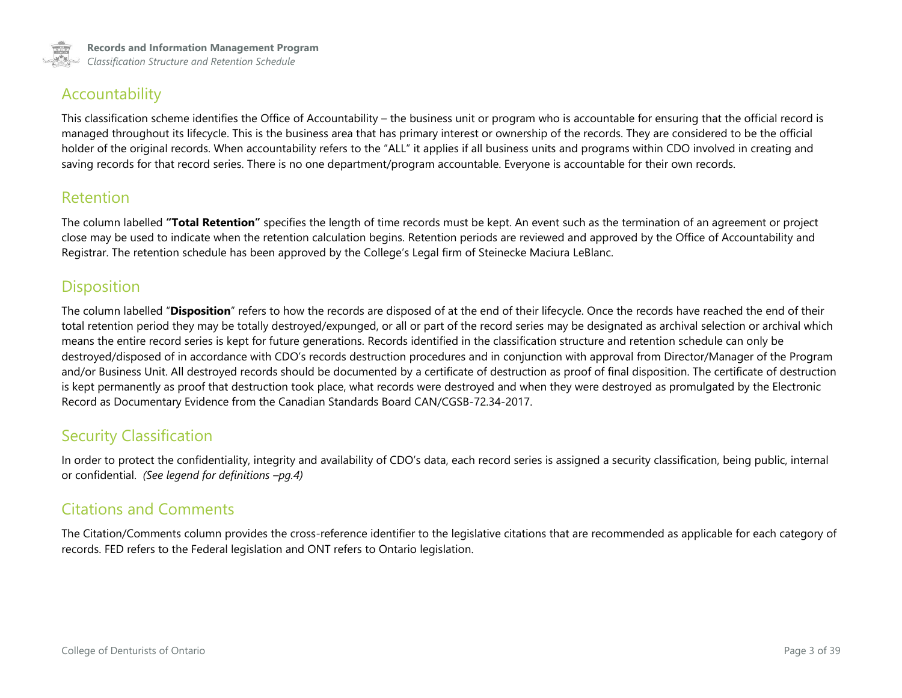

### Accountability

This classification scheme identifies the Office of Accountability – the business unit or program who is accountable for ensuring that the official record is managed throughout its lifecycle. This is the business area that has primary interest or ownership of the records. They are considered to be the official holder of the original records. When accountability refers to the "ALL" it applies if all business units and programs within CDO involved in creating and saving records for that record series. There is no one department/program accountable. Everyone is accountable for their own records.

#### Retention

The column labelled **"Total Retention"** specifies the length of time records must be kept. An event such as the termination of an agreement or project close may be used to indicate when the retention calculation begins. Retention periods are reviewed and approved by the Office of Accountability and Registrar. The retention schedule has been approved by the College's Legal firm of Steinecke Maciura LeBlanc.

### **Disposition**

The column labelled "**Disposition**" refers to how the records are disposed of at the end of their lifecycle. Once the records have reached the end of their total retention period they may be totally destroyed/expunged, or all or part of the record series may be designated as archival selection or archival which means the entire record series is kept for future generations. Records identified in the classification structure and retention schedule can only be destroyed/disposed of in accordance with CDO's records destruction procedures and in conjunction with approval from Director/Manager of the Program and/or Business Unit. All destroyed records should be documented by a certificate of destruction as proof of final disposition. The certificate of destruction is kept permanently as proof that destruction took place, what records were destroyed and when they were destroyed as promulgated by the Electronic Record as Documentary Evidence from the Canadian Standards Board CAN/CGSB-72.34-2017.

### Security Classification

In order to protect the confidentiality, integrity and availability of CDO's data, each record series is assigned a security classification, being public, internal or confidential. *(See legend for definitions –pg.4)*

### Citations and Comments

The Citation/Comments column provides the cross-reference identifier to the legislative citations that are recommended as applicable for each category of records. FED refers to the Federal legislation and ONT refers to Ontario legislation.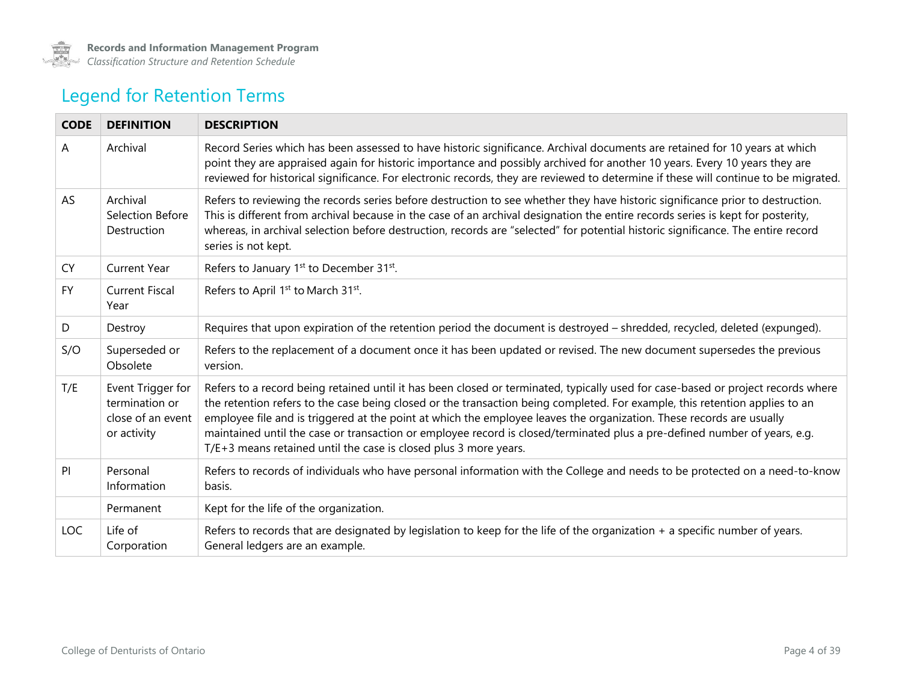

## Legend for Retention Terms

| <b>CODE</b> | <b>DEFINITION</b>                                                       | <b>DESCRIPTION</b>                                                                                                                                                                                                                                                                                                                                                                                                                                                                                                                                                                       |
|-------------|-------------------------------------------------------------------------|------------------------------------------------------------------------------------------------------------------------------------------------------------------------------------------------------------------------------------------------------------------------------------------------------------------------------------------------------------------------------------------------------------------------------------------------------------------------------------------------------------------------------------------------------------------------------------------|
| A           | Archival                                                                | Record Series which has been assessed to have historic significance. Archival documents are retained for 10 years at which<br>point they are appraised again for historic importance and possibly archived for another 10 years. Every 10 years they are<br>reviewed for historical significance. For electronic records, they are reviewed to determine if these will continue to be migrated.                                                                                                                                                                                          |
| AS          | Archival<br>Selection Before<br>Destruction                             | Refers to reviewing the records series before destruction to see whether they have historic significance prior to destruction.<br>This is different from archival because in the case of an archival designation the entire records series is kept for posterity,<br>whereas, in archival selection before destruction, records are "selected" for potential historic significance. The entire record<br>series is not kept.                                                                                                                                                             |
| <b>CY</b>   | <b>Current Year</b>                                                     | Refers to January 1 <sup>st</sup> to December 31 <sup>st</sup> .                                                                                                                                                                                                                                                                                                                                                                                                                                                                                                                         |
| <b>FY</b>   | <b>Current Fiscal</b><br>Year                                           | Refers to April 1st to March 31st.                                                                                                                                                                                                                                                                                                                                                                                                                                                                                                                                                       |
| D           | Destroy                                                                 | Requires that upon expiration of the retention period the document is destroyed - shredded, recycled, deleted (expunged).                                                                                                                                                                                                                                                                                                                                                                                                                                                                |
| S/O         | Superseded or<br>Obsolete                                               | Refers to the replacement of a document once it has been updated or revised. The new document supersedes the previous<br>version.                                                                                                                                                                                                                                                                                                                                                                                                                                                        |
| T/E         | Event Trigger for<br>termination or<br>close of an event<br>or activity | Refers to a record being retained until it has been closed or terminated, typically used for case-based or project records where<br>the retention refers to the case being closed or the transaction being completed. For example, this retention applies to an<br>employee file and is triggered at the point at which the employee leaves the organization. These records are usually<br>maintained until the case or transaction or employee record is closed/terminated plus a pre-defined number of years, e.g.<br>T/E+3 means retained until the case is closed plus 3 more years. |
| PI          | Personal<br>Information                                                 | Refers to records of individuals who have personal information with the College and needs to be protected on a need-to-know<br>basis.                                                                                                                                                                                                                                                                                                                                                                                                                                                    |
|             | Permanent                                                               | Kept for the life of the organization.                                                                                                                                                                                                                                                                                                                                                                                                                                                                                                                                                   |
| <b>LOC</b>  | Life of<br>Corporation                                                  | Refers to records that are designated by legislation to keep for the life of the organization $+$ a specific number of years.<br>General ledgers are an example.                                                                                                                                                                                                                                                                                                                                                                                                                         |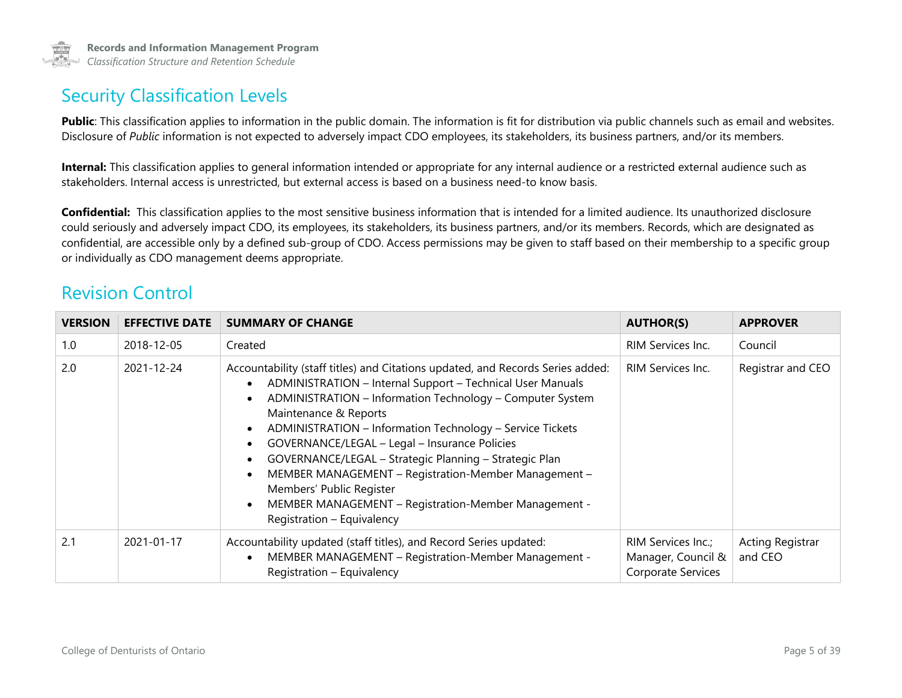

### Security Classification Levels

Public: This classification applies to information in the public domain. The information is fit for distribution via public channels such as email and websites. Disclosure of *Public* information is not expected to adversely impact CDO employees, its stakeholders, its business partners, and/or its members.

**Internal:** This classification applies to general information intended or appropriate for any internal audience or a restricted external audience such as stakeholders. Internal access is unrestricted, but external access is based on a business need-to know basis.

**Confidential:** This classification applies to the most sensitive business information that is intended for a limited audience. Its unauthorized disclosure could seriously and adversely impact CDO, its employees, its stakeholders, its business partners, and/or its members. Records, which are designated as confidential, are accessible only by a defined sub-group of CDO. Access permissions may be given to staff based on their membership to a specific group or individually as CDO management deems appropriate.

### Revision Control

| <b>VERSION</b> | <b>EFFECTIVE DATE</b> | <b>SUMMARY OF CHANGE</b>                                                                                                                                                                                                                                                                                                                                                                                                                                                                                                                                                                                                                                                        | <b>AUTHOR(S)</b>                                               | <b>APPROVER</b>             |
|----------------|-----------------------|---------------------------------------------------------------------------------------------------------------------------------------------------------------------------------------------------------------------------------------------------------------------------------------------------------------------------------------------------------------------------------------------------------------------------------------------------------------------------------------------------------------------------------------------------------------------------------------------------------------------------------------------------------------------------------|----------------------------------------------------------------|-----------------------------|
| 1.0            | 2018-12-05            | Created                                                                                                                                                                                                                                                                                                                                                                                                                                                                                                                                                                                                                                                                         | RIM Services Inc.                                              | Council                     |
| 2.0            | 2021-12-24            | Accountability (staff titles) and Citations updated, and Records Series added:<br>ADMINISTRATION - Internal Support - Technical User Manuals<br>$\bullet$<br>ADMINISTRATION - Information Technology - Computer System<br>$\bullet$<br>Maintenance & Reports<br>ADMINISTRATION - Information Technology - Service Tickets<br>$\bullet$<br>GOVERNANCE/LEGAL - Legal - Insurance Policies<br>$\bullet$<br>GOVERNANCE/LEGAL - Strategic Planning - Strategic Plan<br>$\bullet$<br>MEMBER MANAGEMENT - Registration-Member Management -<br>$\bullet$<br>Members' Public Register<br>MEMBER MANAGEMENT - Registration-Member Management -<br>$\bullet$<br>Registration - Equivalency | RIM Services Inc.                                              | Registrar and CEO           |
| 2.1            | 2021-01-17            | Accountability updated (staff titles), and Record Series updated:<br>MEMBER MANAGEMENT - Registration-Member Management -<br>$\bullet$<br>Registration - Equivalency                                                                                                                                                                                                                                                                                                                                                                                                                                                                                                            | RIM Services Inc.;<br>Manager, Council &<br>Corporate Services | Acting Registrar<br>and CEO |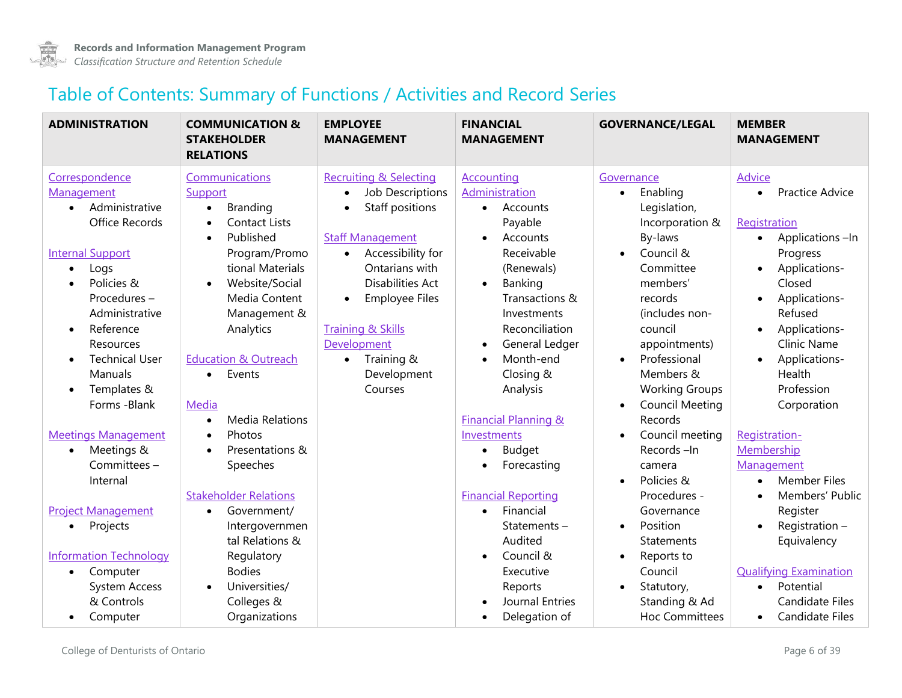

### Table of Contents: Summary of Functions / Activities and Record Series

| <b>ADMINISTRATION</b>                                                                                                                                                                                                                                                                                                                                                                                                                                                                                                                           | <b>COMMUNICATION &amp;</b><br><b>STAKEHOLDER</b><br><b>RELATIONS</b>                                                                                                                                                                                                                                                                                                                                                                                                                                                                                  | <b>EMPLOYEE</b><br><b>MANAGEMENT</b>                                                                                                                                                                                                                                                                                                                   | <b>FINANCIAL</b><br><b>MANAGEMENT</b>                                                                                                                                                                                                                                                                                                                                                                                                                                                                                              | <b>GOVERNANCE/LEGAL</b>                                                                                                                                                                                                                                                                                                                                                                                                                                                                                                                                | <b>MEMBER</b><br><b>MANAGEMENT</b>                                                                                                                                                                                                                                                                                                                                                                                                                                                       |
|-------------------------------------------------------------------------------------------------------------------------------------------------------------------------------------------------------------------------------------------------------------------------------------------------------------------------------------------------------------------------------------------------------------------------------------------------------------------------------------------------------------------------------------------------|-------------------------------------------------------------------------------------------------------------------------------------------------------------------------------------------------------------------------------------------------------------------------------------------------------------------------------------------------------------------------------------------------------------------------------------------------------------------------------------------------------------------------------------------------------|--------------------------------------------------------------------------------------------------------------------------------------------------------------------------------------------------------------------------------------------------------------------------------------------------------------------------------------------------------|------------------------------------------------------------------------------------------------------------------------------------------------------------------------------------------------------------------------------------------------------------------------------------------------------------------------------------------------------------------------------------------------------------------------------------------------------------------------------------------------------------------------------------|--------------------------------------------------------------------------------------------------------------------------------------------------------------------------------------------------------------------------------------------------------------------------------------------------------------------------------------------------------------------------------------------------------------------------------------------------------------------------------------------------------------------------------------------------------|------------------------------------------------------------------------------------------------------------------------------------------------------------------------------------------------------------------------------------------------------------------------------------------------------------------------------------------------------------------------------------------------------------------------------------------------------------------------------------------|
| Correspondence<br>Management<br>Administrative<br>$\bullet$<br>Office Records<br><b>Internal Support</b><br>Logs<br>$\bullet$<br>Policies &<br>Procedures-<br>Administrative<br>Reference<br>$\bullet$<br>Resources<br><b>Technical User</b><br>Manuals<br>Templates &<br>$\bullet$<br>Forms - Blank<br><b>Meetings Management</b><br>Meetings &<br>$\bullet$<br>Committees -<br>Internal<br><b>Project Management</b><br>Projects<br>$\bullet$<br><b>Information Technology</b><br>Computer<br>$\bullet$<br><b>System Access</b><br>& Controls | Communications<br>Support<br>Branding<br>$\bullet$<br><b>Contact Lists</b><br>Published<br>$\bullet$<br>Program/Promo<br>tional Materials<br>Website/Social<br>$\bullet$<br>Media Content<br>Management &<br>Analytics<br><b>Education &amp; Outreach</b><br>Events<br>$\bullet$<br>Media<br><b>Media Relations</b><br>$\bullet$<br>Photos<br>Presentations &<br>$\bullet$<br>Speeches<br><b>Stakeholder Relations</b><br>Government/<br>$\bullet$<br>Intergovernmen<br>tal Relations &<br>Regulatory<br><b>Bodies</b><br>Universities/<br>Colleges & | <b>Recruiting &amp; Selecting</b><br>Job Descriptions<br>$\bullet$<br>Staff positions<br>$\bullet$<br><b>Staff Management</b><br>Accessibility for<br>$\bullet$<br>Ontarians with<br><b>Disabilities Act</b><br><b>Employee Files</b><br>$\bullet$<br><b>Training &amp; Skills</b><br>Development<br>Training &<br>$\bullet$<br>Development<br>Courses | <b>Accounting</b><br>Administration<br>Accounts<br>$\bullet$<br>Payable<br>Accounts<br>$\bullet$<br>Receivable<br>(Renewals)<br>Banking<br>$\bullet$<br>Transactions &<br>Investments<br>Reconciliation<br>General Ledger<br>$\bullet$<br>Month-end<br>Closing &<br>Analysis<br><b>Financial Planning &amp;</b><br>Investments<br><b>Budget</b><br>$\bullet$<br>Forecasting<br>$\bullet$<br><b>Financial Reporting</b><br>Financial<br>$\bullet$<br>Statements-<br>Audited<br>Council &<br>Executive<br>Reports<br>Journal Entries | Governance<br>Enabling<br>$\bullet$<br>Legislation,<br>Incorporation &<br>By-laws<br>Council &<br>$\bullet$<br>Committee<br>members'<br>records<br>(includes non-<br>council<br>appointments)<br>Professional<br>$\bullet$<br>Members &<br><b>Working Groups</b><br><b>Council Meeting</b><br>$\bullet$<br>Records<br>Council meeting<br>$\bullet$<br>Records-In<br>camera<br>Policies &<br>Procedures -<br>Governance<br>Position<br>$\bullet$<br><b>Statements</b><br>Reports to<br>$\bullet$<br>Council<br>Statutory,<br>$\bullet$<br>Standing & Ad | <b>Advice</b><br><b>Practice Advice</b><br>$\bullet$<br>Registration<br>Applications-In<br>$\bullet$<br>Progress<br>Applications-<br>Closed<br>Applications-<br>Refused<br>Applications-<br>Clinic Name<br>Applications-<br>Health<br>Profession<br>Corporation<br>Registration-<br>Membership<br>Management<br><b>Member Files</b><br>Members' Public<br>Register<br>Registration -<br>Equivalency<br><b>Qualifying Examination</b><br>Potential<br>$\bullet$<br><b>Candidate Files</b> |
| Computer                                                                                                                                                                                                                                                                                                                                                                                                                                                                                                                                        | Organizations                                                                                                                                                                                                                                                                                                                                                                                                                                                                                                                                         |                                                                                                                                                                                                                                                                                                                                                        | Delegation of<br>٠                                                                                                                                                                                                                                                                                                                                                                                                                                                                                                                 | <b>Hoc Committees</b>                                                                                                                                                                                                                                                                                                                                                                                                                                                                                                                                  | Candidate Files                                                                                                                                                                                                                                                                                                                                                                                                                                                                          |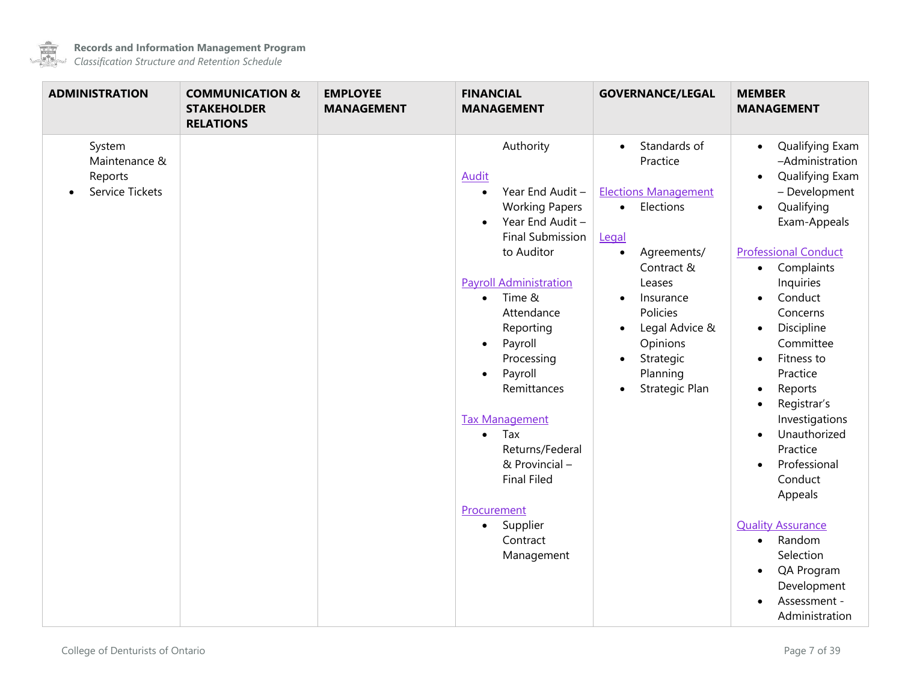

 $\overline{\phantom{a}}$ 

| <b>ADMINISTRATION</b>                                 | <b>COMMUNICATION &amp;</b><br><b>STAKEHOLDER</b><br><b>RELATIONS</b> | <b>EMPLOYEE</b><br><b>MANAGEMENT</b> | <b>FINANCIAL</b><br><b>MANAGEMENT</b>                                                                                                                                                                                                                                                                                                                                                                                                                                                                   | <b>GOVERNANCE/LEGAL</b>                                                                                                                                                                                                                                                                   | <b>MEMBER</b><br><b>MANAGEMENT</b>                                                                                                                                                                                                                                                                                                                                                                                                                                                                                                                                                                                        |
|-------------------------------------------------------|----------------------------------------------------------------------|--------------------------------------|---------------------------------------------------------------------------------------------------------------------------------------------------------------------------------------------------------------------------------------------------------------------------------------------------------------------------------------------------------------------------------------------------------------------------------------------------------------------------------------------------------|-------------------------------------------------------------------------------------------------------------------------------------------------------------------------------------------------------------------------------------------------------------------------------------------|---------------------------------------------------------------------------------------------------------------------------------------------------------------------------------------------------------------------------------------------------------------------------------------------------------------------------------------------------------------------------------------------------------------------------------------------------------------------------------------------------------------------------------------------------------------------------------------------------------------------------|
| System<br>Maintenance &<br>Reports<br>Service Tickets |                                                                      |                                      | Authority<br><b>Audit</b><br>Year End Audit -<br>$\bullet$<br><b>Working Papers</b><br>Year End Audit -<br>$\bullet$<br><b>Final Submission</b><br>to Auditor<br><b>Payroll Administration</b><br>Time &<br>$\bullet$<br>Attendance<br>Reporting<br>Payroll<br>$\bullet$<br>Processing<br>Payroll<br>$\bullet$<br>Remittances<br><b>Tax Management</b><br>Tax<br>$\bullet$<br>Returns/Federal<br>& Provincial -<br><b>Final Filed</b><br>Procurement<br>Supplier<br>$\bullet$<br>Contract<br>Management | Standards of<br>$\bullet$<br>Practice<br><b>Elections Management</b><br>• Elections<br>Legal<br>Agreements/<br>$\bullet$<br>Contract &<br>Leases<br>Insurance<br>$\bullet$<br>Policies<br>Legal Advice &<br>$\bullet$<br>Opinions<br>Strategic<br>$\bullet$<br>Planning<br>Strategic Plan | Qualifying Exam<br>$\bullet$<br>-Administration<br>Qualifying Exam<br>$\bullet$<br>- Development<br>Qualifying<br>$\bullet$<br>Exam-Appeals<br><b>Professional Conduct</b><br>Complaints<br>$\bullet$<br>Inquiries<br>Conduct<br>$\bullet$<br>Concerns<br>Discipline<br>$\bullet$<br>Committee<br>Fitness to<br>$\bullet$<br>Practice<br>Reports<br>$\bullet$<br>Registrar's<br>$\bullet$<br>Investigations<br>Unauthorized<br>Practice<br>Professional<br>Conduct<br>Appeals<br><b>Quality Assurance</b><br>Random<br>$\bullet$<br>Selection<br>QA Program<br>$\bullet$<br>Development<br>Assessment -<br>Administration |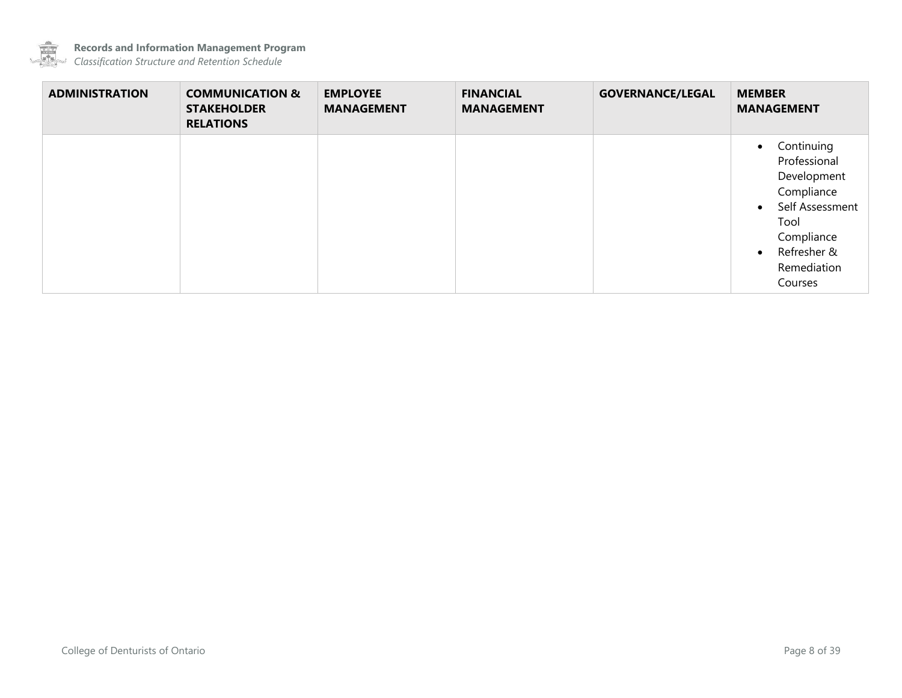

| <b>ADMINISTRATION</b> | <b>COMMUNICATION &amp;</b><br><b>STAKEHOLDER</b><br><b>RELATIONS</b> | <b>EMPLOYEE</b><br><b>MANAGEMENT</b> | <b>FINANCIAL</b><br><b>MANAGEMENT</b> | <b>GOVERNANCE/LEGAL</b> | <b>MEMBER</b><br><b>MANAGEMENT</b>                                                                                                                                               |
|-----------------------|----------------------------------------------------------------------|--------------------------------------|---------------------------------------|-------------------------|----------------------------------------------------------------------------------------------------------------------------------------------------------------------------------|
|                       |                                                                      |                                      |                                       |                         | Continuing<br>$\bullet$<br>Professional<br>Development<br>Compliance<br>Self Assessment<br>$\bullet$<br>Tool<br>Compliance<br>Refresher &<br>$\bullet$<br>Remediation<br>Courses |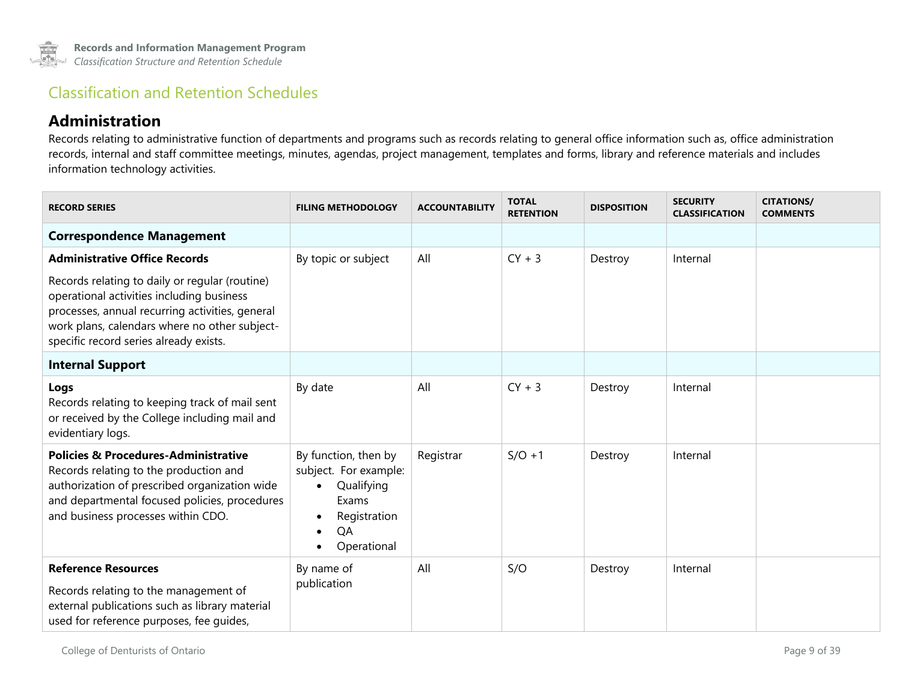### Classification and Retention Schedules

#### **Administration**

Records relating to administrative function of departments and programs such as records relating to general office information such as, office administration records, internal and staff committee meetings, minutes, agendas, project management, templates and forms, library and reference materials and includes information technology activities.

<span id="page-8-1"></span><span id="page-8-0"></span>

| <b>RECORD SERIES</b>                                                                                                                                                                                                                      | <b>FILING METHODOLOGY</b>                                                                                                                        | <b>ACCOUNTABILITY</b> | <b>TOTAL</b><br><b>RETENTION</b> | <b>DISPOSITION</b> | <b>SECURITY</b><br><b>CLASSIFICATION</b> | <b>CITATIONS/</b><br><b>COMMENTS</b> |
|-------------------------------------------------------------------------------------------------------------------------------------------------------------------------------------------------------------------------------------------|--------------------------------------------------------------------------------------------------------------------------------------------------|-----------------------|----------------------------------|--------------------|------------------------------------------|--------------------------------------|
| <b>Correspondence Management</b>                                                                                                                                                                                                          |                                                                                                                                                  |                       |                                  |                    |                                          |                                      |
| <b>Administrative Office Records</b>                                                                                                                                                                                                      | By topic or subject                                                                                                                              | All                   | $CY + 3$                         | Destroy            | Internal                                 |                                      |
| Records relating to daily or regular (routine)<br>operational activities including business<br>processes, annual recurring activities, general<br>work plans, calendars where no other subject-<br>specific record series already exists. |                                                                                                                                                  |                       |                                  |                    |                                          |                                      |
| <b>Internal Support</b>                                                                                                                                                                                                                   |                                                                                                                                                  |                       |                                  |                    |                                          |                                      |
| Logs<br>Records relating to keeping track of mail sent<br>or received by the College including mail and<br>evidentiary logs.                                                                                                              | By date                                                                                                                                          | All                   | $CY + 3$                         | Destroy            | Internal                                 |                                      |
| <b>Policies &amp; Procedures-Administrative</b><br>Records relating to the production and<br>authorization of prescribed organization wide<br>and departmental focused policies, procedures<br>and business processes within CDO.         | By function, then by<br>subject. For example:<br>Qualifying<br>Exams<br>Registration<br>$\bullet$<br>QA<br>$\bullet$<br>Operational<br>$\bullet$ | Registrar             | $S/O + 1$                        | Destroy            | Internal                                 |                                      |
| <b>Reference Resources</b><br>Records relating to the management of<br>external publications such as library material<br>used for reference purposes, fee quides,                                                                         | By name of<br>publication                                                                                                                        | All                   | S/O                              | Destroy            | Internal                                 |                                      |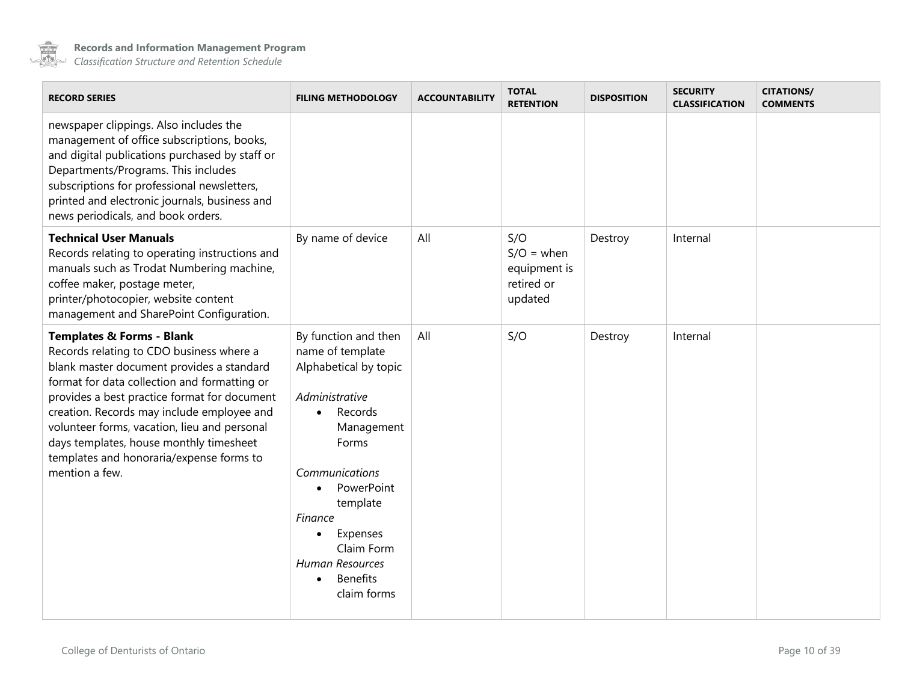

| <b>RECORD SERIES</b>                                                                                                                                                                                                                                                                                                                                                                                                                 | <b>FILING METHODOLOGY</b>                                                                                                                                                                                                                                                                    | <b>ACCOUNTABILITY</b> | <b>TOTAL</b><br><b>RETENTION</b>                             | <b>DISPOSITION</b> | <b>SECURITY</b><br><b>CLASSIFICATION</b> | <b>CITATIONS/</b><br><b>COMMENTS</b> |
|--------------------------------------------------------------------------------------------------------------------------------------------------------------------------------------------------------------------------------------------------------------------------------------------------------------------------------------------------------------------------------------------------------------------------------------|----------------------------------------------------------------------------------------------------------------------------------------------------------------------------------------------------------------------------------------------------------------------------------------------|-----------------------|--------------------------------------------------------------|--------------------|------------------------------------------|--------------------------------------|
| newspaper clippings. Also includes the<br>management of office subscriptions, books,<br>and digital publications purchased by staff or<br>Departments/Programs. This includes<br>subscriptions for professional newsletters,<br>printed and electronic journals, business and<br>news periodicals, and book orders.                                                                                                                  |                                                                                                                                                                                                                                                                                              |                       |                                                              |                    |                                          |                                      |
| <b>Technical User Manuals</b><br>Records relating to operating instructions and<br>manuals such as Trodat Numbering machine,<br>coffee maker, postage meter,<br>printer/photocopier, website content<br>management and SharePoint Configuration.                                                                                                                                                                                     | By name of device                                                                                                                                                                                                                                                                            | All                   | S/O<br>$S/O = when$<br>equipment is<br>retired or<br>updated | Destroy            | Internal                                 |                                      |
| <b>Templates &amp; Forms - Blank</b><br>Records relating to CDO business where a<br>blank master document provides a standard<br>format for data collection and formatting or<br>provides a best practice format for document<br>creation. Records may include employee and<br>volunteer forms, vacation, lieu and personal<br>days templates, house monthly timesheet<br>templates and honoraria/expense forms to<br>mention a few. | By function and then<br>name of template<br>Alphabetical by topic<br>Administrative<br>Records<br>Management<br>Forms<br>Communications<br>PowerPoint<br>template<br>Finance<br>Expenses<br>$\bullet$<br>Claim Form<br><b>Human Resources</b><br><b>Benefits</b><br>$\bullet$<br>claim forms | All                   | S/O                                                          | Destroy            | Internal                                 |                                      |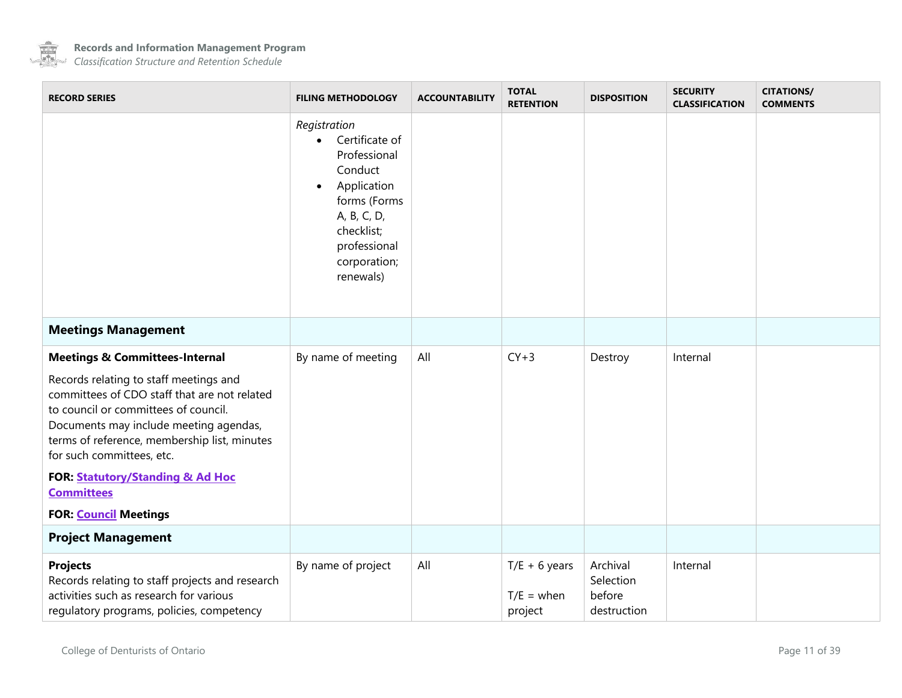

<span id="page-10-1"></span><span id="page-10-0"></span>

| <b>RECORD SERIES</b>                                                                                                                                                                                                                                  | <b>FILING METHODOLOGY</b>                                                                                                                                                                    | <b>ACCOUNTABILITY</b> | <b>TOTAL</b><br><b>RETENTION</b>           | <b>DISPOSITION</b>                             | <b>SECURITY</b><br><b>CLASSIFICATION</b> | <b>CITATIONS/</b><br><b>COMMENTS</b> |
|-------------------------------------------------------------------------------------------------------------------------------------------------------------------------------------------------------------------------------------------------------|----------------------------------------------------------------------------------------------------------------------------------------------------------------------------------------------|-----------------------|--------------------------------------------|------------------------------------------------|------------------------------------------|--------------------------------------|
|                                                                                                                                                                                                                                                       | Registration<br>Certificate of<br>$\bullet$<br>Professional<br>Conduct<br>Application<br>$\bullet$<br>forms (Forms<br>A, B, C, D,<br>checklist;<br>professional<br>corporation;<br>renewals) |                       |                                            |                                                |                                          |                                      |
| <b>Meetings Management</b>                                                                                                                                                                                                                            |                                                                                                                                                                                              |                       |                                            |                                                |                                          |                                      |
| <b>Meetings &amp; Committees-Internal</b>                                                                                                                                                                                                             | By name of meeting                                                                                                                                                                           | All                   | $CY+3$                                     | Destroy                                        | Internal                                 |                                      |
| Records relating to staff meetings and<br>committees of CDO staff that are not related<br>to council or committees of council.<br>Documents may include meeting agendas,<br>terms of reference, membership list, minutes<br>for such committees, etc. |                                                                                                                                                                                              |                       |                                            |                                                |                                          |                                      |
| FOR: Statutory/Standing & Ad Hoc<br><b>Committees</b>                                                                                                                                                                                                 |                                                                                                                                                                                              |                       |                                            |                                                |                                          |                                      |
| <b>FOR: Council Meetings</b>                                                                                                                                                                                                                          |                                                                                                                                                                                              |                       |                                            |                                                |                                          |                                      |
| <b>Project Management</b>                                                                                                                                                                                                                             |                                                                                                                                                                                              |                       |                                            |                                                |                                          |                                      |
| <b>Projects</b><br>Records relating to staff projects and research<br>activities such as research for various<br>regulatory programs, policies, competency                                                                                            | By name of project                                                                                                                                                                           | All                   | $T/E + 6$ years<br>$T/E =$ when<br>project | Archival<br>Selection<br>before<br>destruction | Internal                                 |                                      |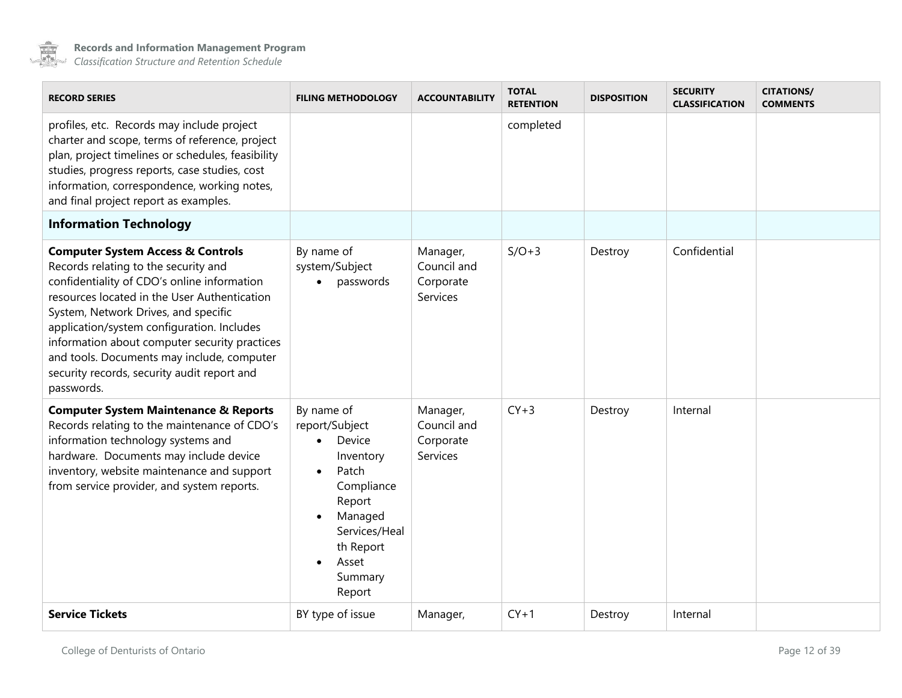

<span id="page-11-0"></span>

| <b>RECORD SERIES</b>                                                                                                                                                                                                                                                                                                                                                                                                                  | <b>FILING METHODOLOGY</b>                                                                                                                                                                          | <b>ACCOUNTABILITY</b>                            | <b>TOTAL</b><br><b>RETENTION</b> | <b>DISPOSITION</b> | <b>SECURITY</b><br><b>CLASSIFICATION</b> | <b>CITATIONS/</b><br><b>COMMENTS</b> |
|---------------------------------------------------------------------------------------------------------------------------------------------------------------------------------------------------------------------------------------------------------------------------------------------------------------------------------------------------------------------------------------------------------------------------------------|----------------------------------------------------------------------------------------------------------------------------------------------------------------------------------------------------|--------------------------------------------------|----------------------------------|--------------------|------------------------------------------|--------------------------------------|
| profiles, etc. Records may include project<br>charter and scope, terms of reference, project<br>plan, project timelines or schedules, feasibility<br>studies, progress reports, case studies, cost<br>information, correspondence, working notes,<br>and final project report as examples.                                                                                                                                            |                                                                                                                                                                                                    |                                                  | completed                        |                    |                                          |                                      |
| <b>Information Technology</b>                                                                                                                                                                                                                                                                                                                                                                                                         |                                                                                                                                                                                                    |                                                  |                                  |                    |                                          |                                      |
| <b>Computer System Access &amp; Controls</b><br>Records relating to the security and<br>confidentiality of CDO's online information<br>resources located in the User Authentication<br>System, Network Drives, and specific<br>application/system configuration. Includes<br>information about computer security practices<br>and tools. Documents may include, computer<br>security records, security audit report and<br>passwords. | By name of<br>system/Subject<br>passwords                                                                                                                                                          | Manager,<br>Council and<br>Corporate<br>Services | $S/O+3$                          | Destroy            | Confidential                             |                                      |
| <b>Computer System Maintenance &amp; Reports</b><br>Records relating to the maintenance of CDO's<br>information technology systems and<br>hardware. Documents may include device<br>inventory, website maintenance and support<br>from service provider, and system reports.                                                                                                                                                          | By name of<br>report/Subject<br>Device<br>Inventory<br>Patch<br>$\bullet$<br>Compliance<br>Report<br>Managed<br>$\bullet$<br>Services/Heal<br>th Report<br>Asset<br>$\bullet$<br>Summary<br>Report | Manager,<br>Council and<br>Corporate<br>Services | $CY+3$                           | Destroy            | Internal                                 |                                      |
| <b>Service Tickets</b>                                                                                                                                                                                                                                                                                                                                                                                                                | BY type of issue                                                                                                                                                                                   | Manager,                                         | $CY+1$                           | Destroy            | Internal                                 |                                      |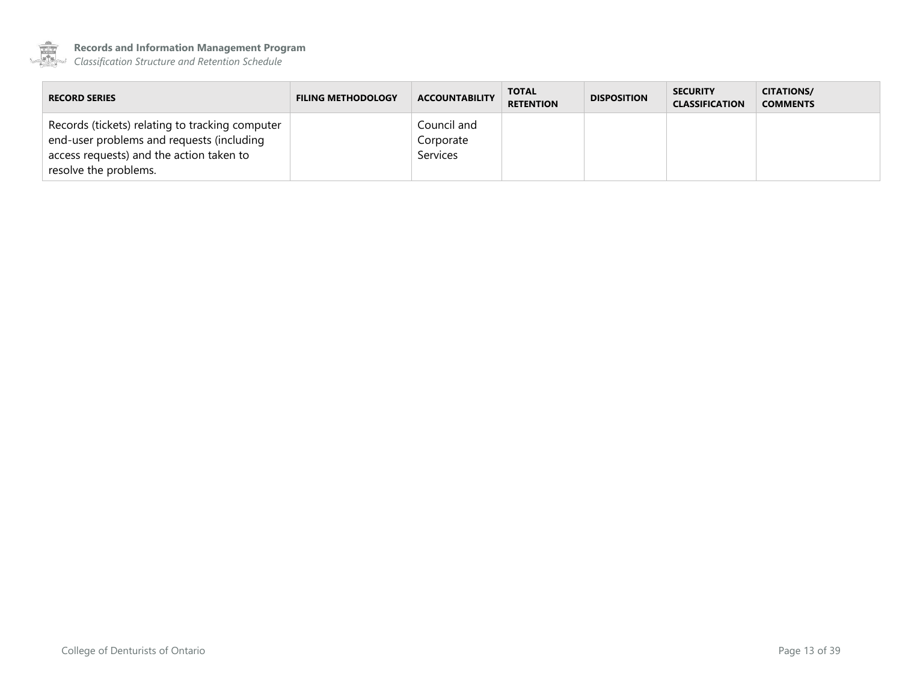

**Records and Information Management Program**

| <b>RECORD SERIES</b>                                                                                                                                              | <b>FILING METHODOLOGY</b> | <b>ACCOUNTABILITY</b>                       | <b>TOTAL</b><br><b>RETENTION</b> | <b>DISPOSITION</b> | <b>SECURITY</b><br><b>CLASSIFICATION</b> | <b>CITATIONS/</b><br><b>COMMENTS</b> |
|-------------------------------------------------------------------------------------------------------------------------------------------------------------------|---------------------------|---------------------------------------------|----------------------------------|--------------------|------------------------------------------|--------------------------------------|
| Records (tickets) relating to tracking computer<br>end-user problems and requests (including<br>access requests) and the action taken to<br>resolve the problems. |                           | Council and<br>Corporate<br><b>Services</b> |                                  |                    |                                          |                                      |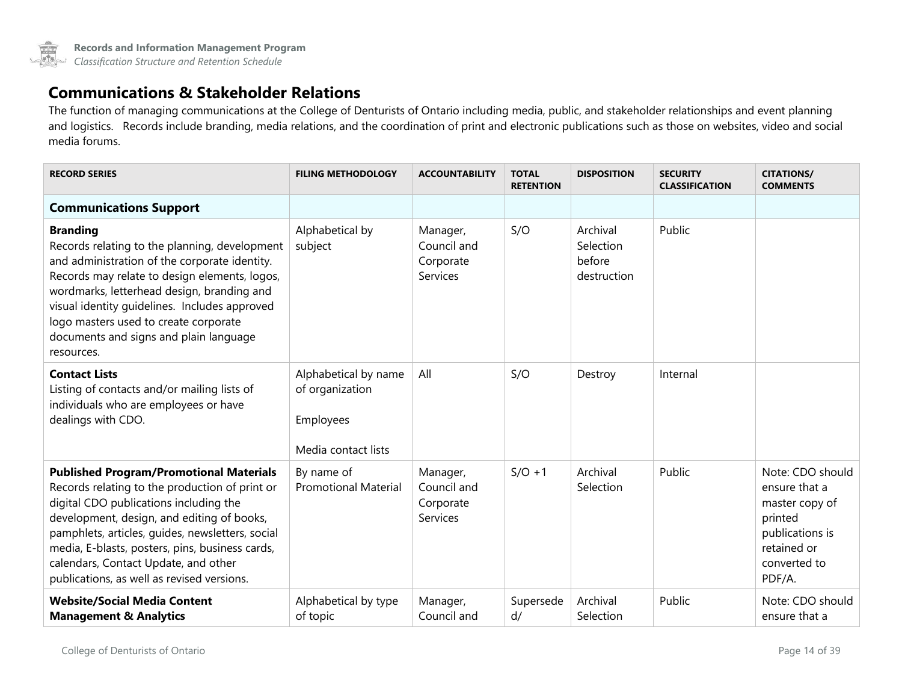

#### **Communications & Stakeholder Relations**

The function of managing communications at the College of Denturists of Ontario including media, public, and stakeholder relationships and event planning and logistics. Records include branding, media relations, and the coordination of print and electronic publications such as those on websites, video and social media forums.

<span id="page-13-0"></span>

| <b>RECORD SERIES</b>                                                                                                                                                                                                                                                                                                                                                                  | <b>FILING METHODOLOGY</b>                                                   | <b>ACCOUNTABILITY</b>                            | <b>TOTAL</b><br><b>RETENTION</b> | <b>DISPOSITION</b>                             | <b>SECURITY</b><br><b>CLASSIFICATION</b> | <b>CITATIONS/</b><br><b>COMMENTS</b>                                                                                       |
|---------------------------------------------------------------------------------------------------------------------------------------------------------------------------------------------------------------------------------------------------------------------------------------------------------------------------------------------------------------------------------------|-----------------------------------------------------------------------------|--------------------------------------------------|----------------------------------|------------------------------------------------|------------------------------------------|----------------------------------------------------------------------------------------------------------------------------|
| <b>Communications Support</b>                                                                                                                                                                                                                                                                                                                                                         |                                                                             |                                                  |                                  |                                                |                                          |                                                                                                                            |
| <b>Branding</b><br>Records relating to the planning, development<br>and administration of the corporate identity.<br>Records may relate to design elements, logos,<br>wordmarks, letterhead design, branding and<br>visual identity guidelines. Includes approved<br>logo masters used to create corporate<br>documents and signs and plain language<br>resources.                    | Alphabetical by<br>subject                                                  | Manager,<br>Council and<br>Corporate<br>Services | S/O                              | Archival<br>Selection<br>before<br>destruction | Public                                   |                                                                                                                            |
| <b>Contact Lists</b><br>Listing of contacts and/or mailing lists of<br>individuals who are employees or have<br>dealings with CDO.                                                                                                                                                                                                                                                    | Alphabetical by name<br>of organization<br>Employees<br>Media contact lists | All                                              | S/O                              | Destroy                                        | Internal                                 |                                                                                                                            |
| <b>Published Program/Promotional Materials</b><br>Records relating to the production of print or<br>digital CDO publications including the<br>development, design, and editing of books,<br>pamphlets, articles, guides, newsletters, social<br>media, E-blasts, posters, pins, business cards,<br>calendars, Contact Update, and other<br>publications, as well as revised versions. | By name of<br><b>Promotional Material</b>                                   | Manager,<br>Council and<br>Corporate<br>Services | $S/O + 1$                        | Archival<br>Selection                          | Public                                   | Note: CDO should<br>ensure that a<br>master copy of<br>printed<br>publications is<br>retained or<br>converted to<br>PDF/A. |
| <b>Website/Social Media Content</b><br><b>Management &amp; Analytics</b>                                                                                                                                                                                                                                                                                                              | Alphabetical by type<br>of topic                                            | Manager,<br>Council and                          | Supersede<br>d/                  | Archival<br>Selection                          | Public                                   | Note: CDO should<br>ensure that a                                                                                          |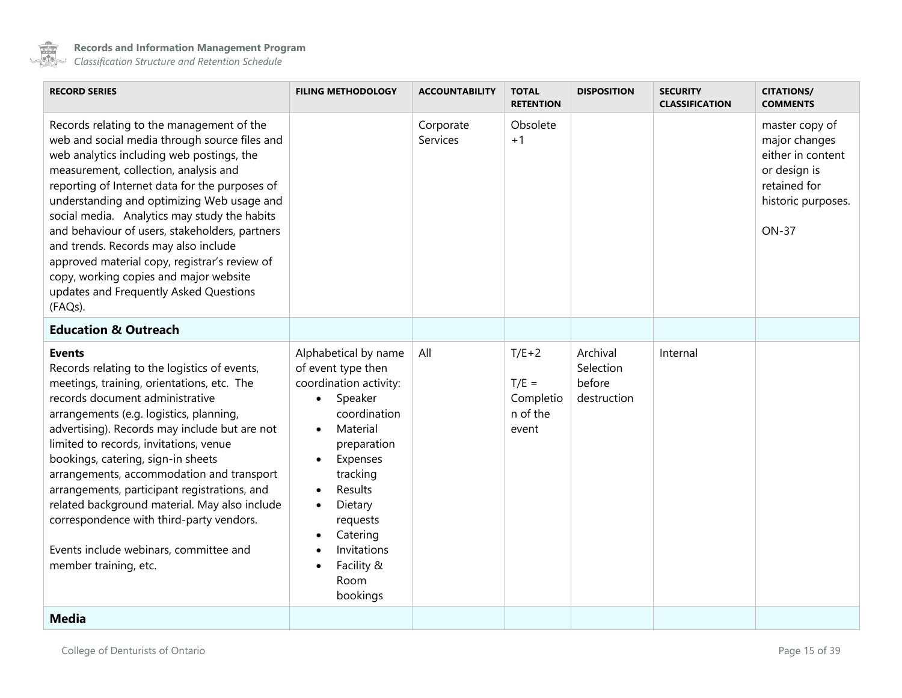

<span id="page-14-1"></span><span id="page-14-0"></span>

| <b>RECORD SERIES</b>                                                                                                                                                                                                                                                                                                                                                                                                                                                                                                                                                                    | <b>FILING METHODOLOGY</b>                                                                                                                                                                                                                                                                | <b>ACCOUNTABILITY</b> | <b>TOTAL</b><br><b>RETENTION</b>                     | <b>DISPOSITION</b>                             | <b>SECURITY</b><br><b>CLASSIFICATION</b> | <b>CITATIONS/</b><br><b>COMMENTS</b>                                                                                       |
|-----------------------------------------------------------------------------------------------------------------------------------------------------------------------------------------------------------------------------------------------------------------------------------------------------------------------------------------------------------------------------------------------------------------------------------------------------------------------------------------------------------------------------------------------------------------------------------------|------------------------------------------------------------------------------------------------------------------------------------------------------------------------------------------------------------------------------------------------------------------------------------------|-----------------------|------------------------------------------------------|------------------------------------------------|------------------------------------------|----------------------------------------------------------------------------------------------------------------------------|
| Records relating to the management of the<br>web and social media through source files and<br>web analytics including web postings, the<br>measurement, collection, analysis and<br>reporting of Internet data for the purposes of<br>understanding and optimizing Web usage and<br>social media. Analytics may study the habits<br>and behaviour of users, stakeholders, partners<br>and trends. Records may also include<br>approved material copy, registrar's review of<br>copy, working copies and major website<br>updates and Frequently Asked Questions<br>(FAQs).              |                                                                                                                                                                                                                                                                                          | Corporate<br>Services | Obsolete<br>$+1$                                     |                                                |                                          | master copy of<br>major changes<br>either in content<br>or design is<br>retained for<br>historic purposes.<br><b>ON-37</b> |
| <b>Education &amp; Outreach</b>                                                                                                                                                                                                                                                                                                                                                                                                                                                                                                                                                         |                                                                                                                                                                                                                                                                                          |                       |                                                      |                                                |                                          |                                                                                                                            |
| <b>Events</b><br>Records relating to the logistics of events,<br>meetings, training, orientations, etc. The<br>records document administrative<br>arrangements (e.g. logistics, planning,<br>advertising). Records may include but are not<br>limited to records, invitations, venue<br>bookings, catering, sign-in sheets<br>arrangements, accommodation and transport<br>arrangements, participant registrations, and<br>related background material. May also include<br>correspondence with third-party vendors.<br>Events include webinars, committee and<br>member training, etc. | Alphabetical by name<br>of event type then<br>coordination activity:<br>Speaker<br>$\bullet$<br>coordination<br>Material<br>$\bullet$<br>preparation<br>Expenses<br>tracking<br>Results<br>Dietary<br>requests<br>Catering<br>Invitations<br>Facility &<br>$\bullet$<br>Room<br>bookings | All                   | $T/E+2$<br>$T/E =$<br>Completio<br>n of the<br>event | Archival<br>Selection<br>before<br>destruction | Internal                                 |                                                                                                                            |
| <b>Media</b>                                                                                                                                                                                                                                                                                                                                                                                                                                                                                                                                                                            |                                                                                                                                                                                                                                                                                          |                       |                                                      |                                                |                                          |                                                                                                                            |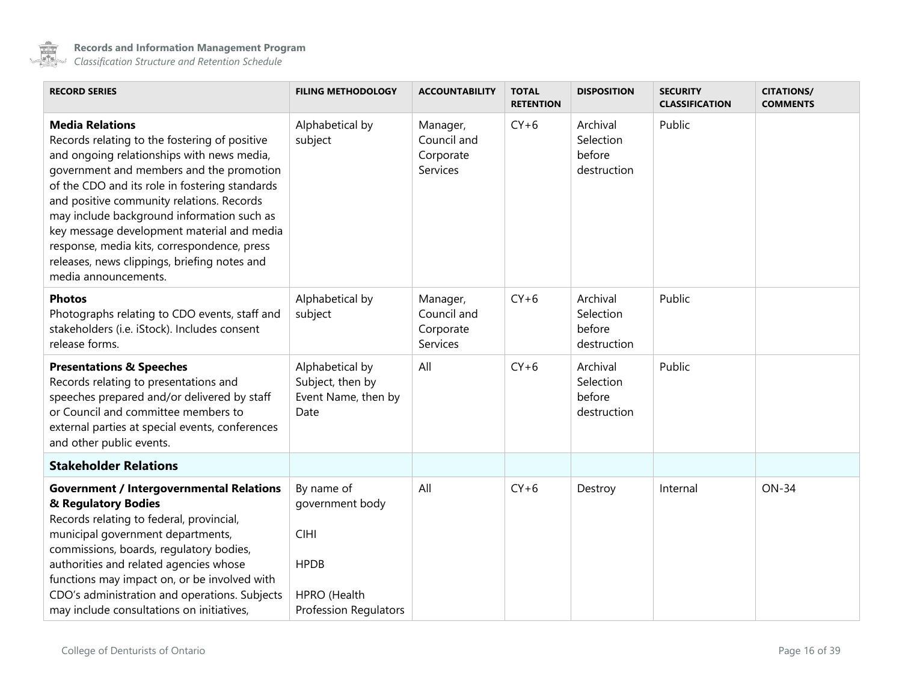

<span id="page-15-0"></span>

| <b>RECORD SERIES</b>                                                                                                                                                                                                                                                                                                                                                                                                                                                                | <b>FILING METHODOLOGY</b>                                                                                   | <b>ACCOUNTABILITY</b>                            | <b>TOTAL</b><br><b>RETENTION</b> | <b>DISPOSITION</b>                             | <b>SECURITY</b><br><b>CLASSIFICATION</b> | <b>CITATIONS/</b><br><b>COMMENTS</b> |
|-------------------------------------------------------------------------------------------------------------------------------------------------------------------------------------------------------------------------------------------------------------------------------------------------------------------------------------------------------------------------------------------------------------------------------------------------------------------------------------|-------------------------------------------------------------------------------------------------------------|--------------------------------------------------|----------------------------------|------------------------------------------------|------------------------------------------|--------------------------------------|
| <b>Media Relations</b><br>Records relating to the fostering of positive<br>and ongoing relationships with news media,<br>government and members and the promotion<br>of the CDO and its role in fostering standards<br>and positive community relations. Records<br>may include background information such as<br>key message development material and media<br>response, media kits, correspondence, press<br>releases, news clippings, briefing notes and<br>media announcements. | Alphabetical by<br>subject                                                                                  | Manager,<br>Council and<br>Corporate<br>Services | $CY+6$                           | Archival<br>Selection<br>before<br>destruction | Public                                   |                                      |
| <b>Photos</b><br>Photographs relating to CDO events, staff and<br>stakeholders (i.e. iStock). Includes consent<br>release forms.                                                                                                                                                                                                                                                                                                                                                    | Alphabetical by<br>subject                                                                                  | Manager,<br>Council and<br>Corporate<br>Services | $CY+6$                           | Archival<br>Selection<br>before<br>destruction | Public                                   |                                      |
| <b>Presentations &amp; Speeches</b><br>Records relating to presentations and<br>speeches prepared and/or delivered by staff<br>or Council and committee members to<br>external parties at special events, conferences<br>and other public events.                                                                                                                                                                                                                                   | Alphabetical by<br>Subject, then by<br>Event Name, then by<br>Date                                          | All                                              | $CY+6$                           | Archival<br>Selection<br>before<br>destruction | Public                                   |                                      |
| <b>Stakeholder Relations</b>                                                                                                                                                                                                                                                                                                                                                                                                                                                        |                                                                                                             |                                                  |                                  |                                                |                                          |                                      |
| <b>Government / Intergovernmental Relations</b><br>& Regulatory Bodies<br>Records relating to federal, provincial,<br>municipal government departments,<br>commissions, boards, regulatory bodies,<br>authorities and related agencies whose<br>functions may impact on, or be involved with<br>CDO's administration and operations. Subjects<br>may include consultations on initiatives,                                                                                          | By name of<br>government body<br><b>CIHI</b><br><b>HPDB</b><br>HPRO (Health<br><b>Profession Regulators</b> | All                                              | $CY+6$                           | Destroy                                        | Internal                                 | <b>ON-34</b>                         |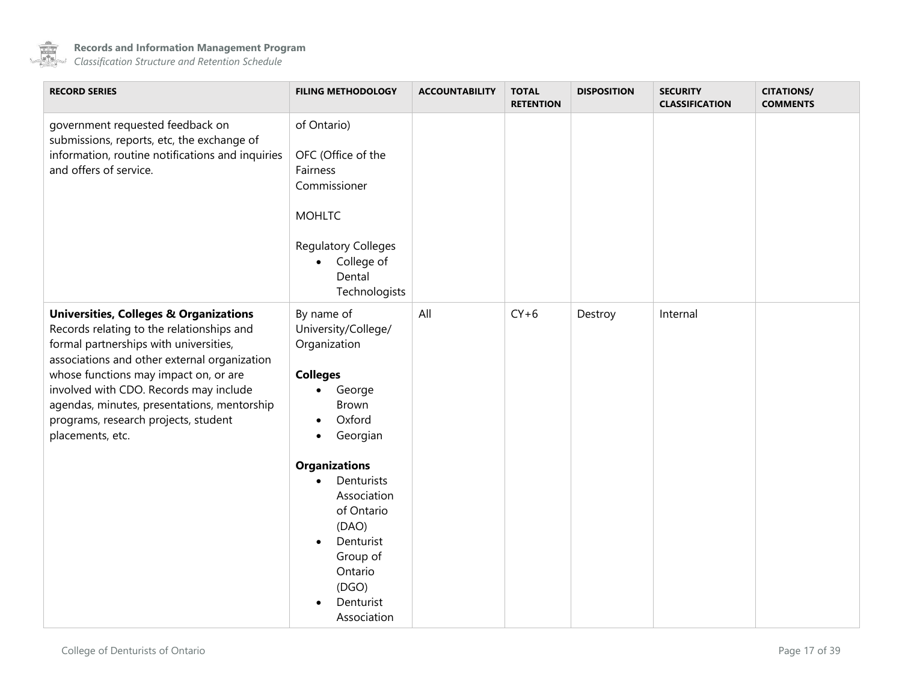

| <b>RECORD SERIES</b>                                                                                                                                                                                                                                                                                                                                                                   | <b>FILING METHODOLOGY</b>                                                                                                                                                                                                                                                                                 | <b>ACCOUNTABILITY</b> | <b>TOTAL</b><br><b>RETENTION</b> | <b>DISPOSITION</b> | <b>SECURITY</b><br><b>CLASSIFICATION</b> | <b>CITATIONS/</b><br><b>COMMENTS</b> |
|----------------------------------------------------------------------------------------------------------------------------------------------------------------------------------------------------------------------------------------------------------------------------------------------------------------------------------------------------------------------------------------|-----------------------------------------------------------------------------------------------------------------------------------------------------------------------------------------------------------------------------------------------------------------------------------------------------------|-----------------------|----------------------------------|--------------------|------------------------------------------|--------------------------------------|
| government requested feedback on<br>submissions, reports, etc, the exchange of<br>information, routine notifications and inquiries<br>and offers of service.                                                                                                                                                                                                                           | of Ontario)<br>OFC (Office of the<br>Fairness<br>Commissioner<br><b>MOHLTC</b><br><b>Regulatory Colleges</b><br>College of<br>$\bullet$<br>Dental<br>Technologists                                                                                                                                        |                       |                                  |                    |                                          |                                      |
| <b>Universities, Colleges &amp; Organizations</b><br>Records relating to the relationships and<br>formal partnerships with universities,<br>associations and other external organization<br>whose functions may impact on, or are<br>involved with CDO. Records may include<br>agendas, minutes, presentations, mentorship<br>programs, research projects, student<br>placements, etc. | By name of<br>University/College/<br>Organization<br><b>Colleges</b><br>George<br>$\bullet$<br>Brown<br>Oxford<br>$\bullet$<br>Georgian<br>$\bullet$<br><b>Organizations</b><br>Denturists<br>Association<br>of Ontario<br>(DAO)<br>Denturist<br>Group of<br>Ontario<br>(DGO)<br>Denturist<br>Association | All                   | $CY+6$                           | Destroy            | Internal                                 |                                      |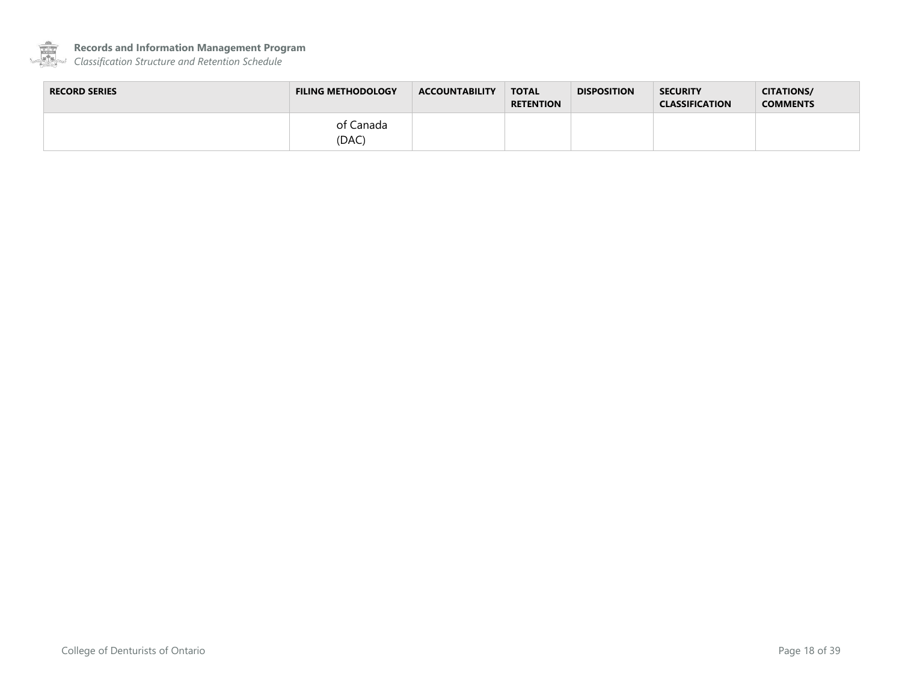

**Records and Information Management Program**

| <b>RECORD SERIES</b> | <b>FILING METHODOLOGY</b> | <b>ACCOUNTABILITY</b> | <b>TOTAL</b><br><b>RETENTION</b> | <b>DISPOSITION</b> | <b>SECURITY</b><br><b>CLASSIFICATION</b> | <b>CITATIONS/</b><br><b>COMMENTS</b> |
|----------------------|---------------------------|-----------------------|----------------------------------|--------------------|------------------------------------------|--------------------------------------|
|                      | of Canada<br>(DAC)        |                       |                                  |                    |                                          |                                      |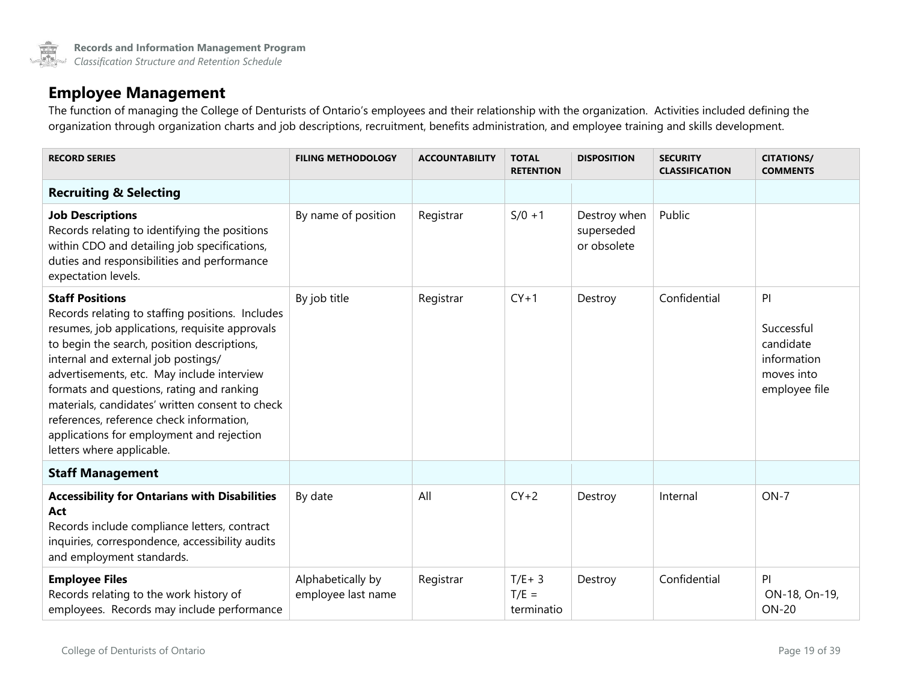#### **Employee Management**

The function of managing the College of Denturists of Ontario's employees and their relationship with the organization. Activities included defining the organization through organization charts and job descriptions, recruitment, benefits administration, and employee training and skills development.

<span id="page-18-1"></span><span id="page-18-0"></span>

| <b>RECORD SERIES</b>                                                                                                                                                                                                                                                                                                                                                                                                                                                                   | <b>FILING METHODOLOGY</b>               | <b>ACCOUNTABILITY</b> | <b>TOTAL</b><br><b>RETENTION</b>   | <b>DISPOSITION</b>                        | <b>SECURITY</b><br><b>CLASSIFICATION</b> | <b>CITATIONS/</b><br><b>COMMENTS</b>                                       |
|----------------------------------------------------------------------------------------------------------------------------------------------------------------------------------------------------------------------------------------------------------------------------------------------------------------------------------------------------------------------------------------------------------------------------------------------------------------------------------------|-----------------------------------------|-----------------------|------------------------------------|-------------------------------------------|------------------------------------------|----------------------------------------------------------------------------|
| <b>Recruiting &amp; Selecting</b>                                                                                                                                                                                                                                                                                                                                                                                                                                                      |                                         |                       |                                    |                                           |                                          |                                                                            |
| <b>Job Descriptions</b><br>Records relating to identifying the positions<br>within CDO and detailing job specifications,<br>duties and responsibilities and performance<br>expectation levels.                                                                                                                                                                                                                                                                                         | By name of position                     | Registrar             | $S/0 + 1$                          | Destroy when<br>superseded<br>or obsolete | Public                                   |                                                                            |
| <b>Staff Positions</b><br>Records relating to staffing positions. Includes<br>resumes, job applications, requisite approvals<br>to begin the search, position descriptions,<br>internal and external job postings/<br>advertisements, etc. May include interview<br>formats and questions, rating and ranking<br>materials, candidates' written consent to check<br>references, reference check information,<br>applications for employment and rejection<br>letters where applicable. | By job title                            | Registrar             | $CY+1$                             | Destroy                                   | Confidential                             | P<br>Successful<br>candidate<br>information<br>moves into<br>employee file |
| <b>Staff Management</b>                                                                                                                                                                                                                                                                                                                                                                                                                                                                |                                         |                       |                                    |                                           |                                          |                                                                            |
| <b>Accessibility for Ontarians with Disabilities</b><br>Act<br>Records include compliance letters, contract<br>inquiries, correspondence, accessibility audits<br>and employment standards.                                                                                                                                                                                                                                                                                            | By date                                 | All                   | $CY+2$                             | Destroy                                   | Internal                                 | $ON-7$                                                                     |
| <b>Employee Files</b><br>Records relating to the work history of<br>employees. Records may include performance                                                                                                                                                                                                                                                                                                                                                                         | Alphabetically by<br>employee last name | Registrar             | $T/E + 3$<br>$T/E =$<br>terminatio | Destroy                                   | Confidential                             | PI<br>ON-18, On-19,<br><b>ON-20</b>                                        |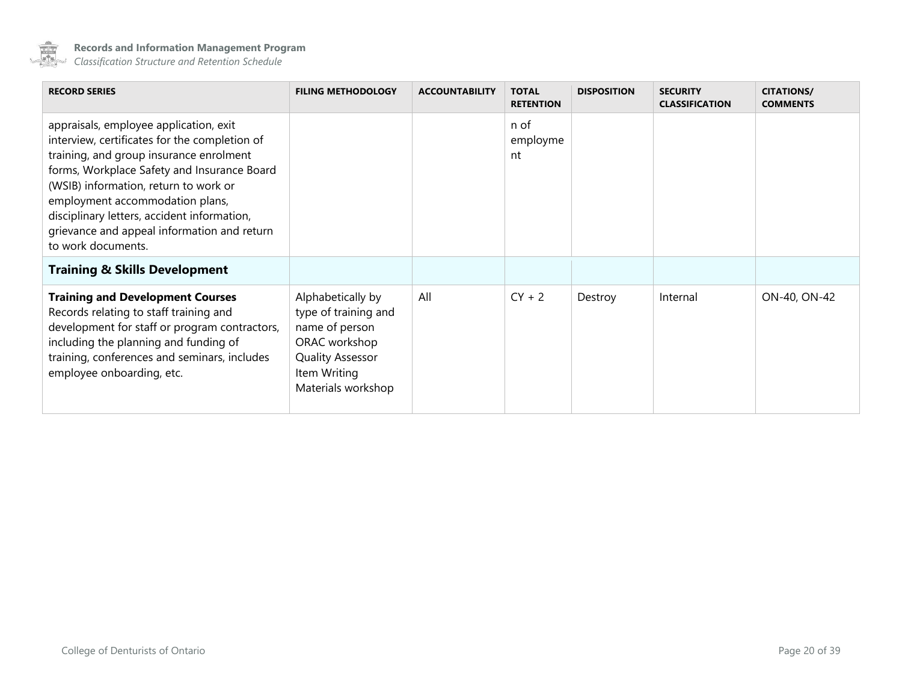

<span id="page-19-0"></span>

| <b>RECORD SERIES</b>                                                                                                                                                                                                                                                                                                                                                              | <b>FILING METHODOLOGY</b>                                                                                                                     | <b>ACCOUNTABILITY</b> | <b>TOTAL</b><br><b>RETENTION</b> | <b>DISPOSITION</b> | <b>SECURITY</b><br><b>CLASSIFICATION</b> | <b>CITATIONS/</b><br><b>COMMENTS</b> |
|-----------------------------------------------------------------------------------------------------------------------------------------------------------------------------------------------------------------------------------------------------------------------------------------------------------------------------------------------------------------------------------|-----------------------------------------------------------------------------------------------------------------------------------------------|-----------------------|----------------------------------|--------------------|------------------------------------------|--------------------------------------|
| appraisals, employee application, exit<br>interview, certificates for the completion of<br>training, and group insurance enrolment<br>forms, Workplace Safety and Insurance Board<br>(WSIB) information, return to work or<br>employment accommodation plans,<br>disciplinary letters, accident information,<br>grievance and appeal information and return<br>to work documents. |                                                                                                                                               |                       | n of<br>employme<br>nt           |                    |                                          |                                      |
| <b>Training &amp; Skills Development</b>                                                                                                                                                                                                                                                                                                                                          |                                                                                                                                               |                       |                                  |                    |                                          |                                      |
| <b>Training and Development Courses</b><br>Records relating to staff training and<br>development for staff or program contractors,<br>including the planning and funding of<br>training, conferences and seminars, includes<br>employee onboarding, etc.                                                                                                                          | Alphabetically by<br>type of training and<br>name of person<br>ORAC workshop<br><b>Quality Assessor</b><br>Item Writing<br>Materials workshop | All                   | $CY + 2$                         | Destroy            | Internal                                 | ON-40, ON-42                         |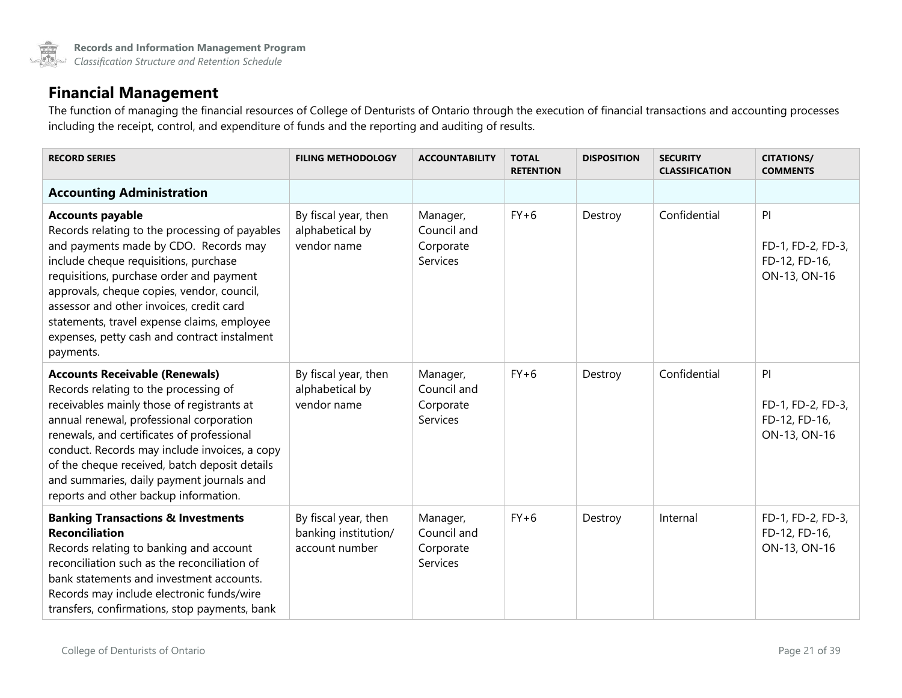### **Financial Management**

The function of managing the financial resources of College of Denturists of Ontario through the execution of financial transactions and accounting processes including the receipt, control, and expenditure of funds and the reporting and auditing of results.

<span id="page-20-0"></span>

| <b>RECORD SERIES</b>                                                                                                                                                                                                                                                                                                                                                                                           | <b>FILING METHODOLOGY</b>                                      | <b>ACCOUNTABILITY</b>                            | <b>TOTAL</b><br><b>RETENTION</b> | <b>DISPOSITION</b> | <b>SECURITY</b><br><b>CLASSIFICATION</b> | <b>CITATIONS/</b><br><b>COMMENTS</b>                     |
|----------------------------------------------------------------------------------------------------------------------------------------------------------------------------------------------------------------------------------------------------------------------------------------------------------------------------------------------------------------------------------------------------------------|----------------------------------------------------------------|--------------------------------------------------|----------------------------------|--------------------|------------------------------------------|----------------------------------------------------------|
| <b>Accounting Administration</b>                                                                                                                                                                                                                                                                                                                                                                               |                                                                |                                                  |                                  |                    |                                          |                                                          |
| <b>Accounts payable</b><br>Records relating to the processing of payables<br>and payments made by CDO. Records may<br>include cheque requisitions, purchase<br>requisitions, purchase order and payment<br>approvals, cheque copies, vendor, council,<br>assessor and other invoices, credit card<br>statements, travel expense claims, employee<br>expenses, petty cash and contract instalment<br>payments.  | By fiscal year, then<br>alphabetical by<br>vendor name         | Manager,<br>Council and<br>Corporate<br>Services | $FY+6$                           | Destroy            | Confidential                             | PI<br>FD-1, FD-2, FD-3,<br>FD-12, FD-16,<br>ON-13, ON-16 |
| <b>Accounts Receivable (Renewals)</b><br>Records relating to the processing of<br>receivables mainly those of registrants at<br>annual renewal, professional corporation<br>renewals, and certificates of professional<br>conduct. Records may include invoices, a copy<br>of the cheque received, batch deposit details<br>and summaries, daily payment journals and<br>reports and other backup information. | By fiscal year, then<br>alphabetical by<br>vendor name         | Manager,<br>Council and<br>Corporate<br>Services | $FY+6$                           | Destroy            | Confidential                             | P<br>FD-1, FD-2, FD-3,<br>FD-12, FD-16,<br>ON-13, ON-16  |
| <b>Banking Transactions &amp; Investments</b><br><b>Reconciliation</b><br>Records relating to banking and account<br>reconciliation such as the reconciliation of<br>bank statements and investment accounts.<br>Records may include electronic funds/wire<br>transfers, confirmations, stop payments, bank                                                                                                    | By fiscal year, then<br>banking institution/<br>account number | Manager,<br>Council and<br>Corporate<br>Services | $FY+6$                           | Destroy            | Internal                                 | FD-1, FD-2, FD-3,<br>FD-12, FD-16,<br>ON-13, ON-16       |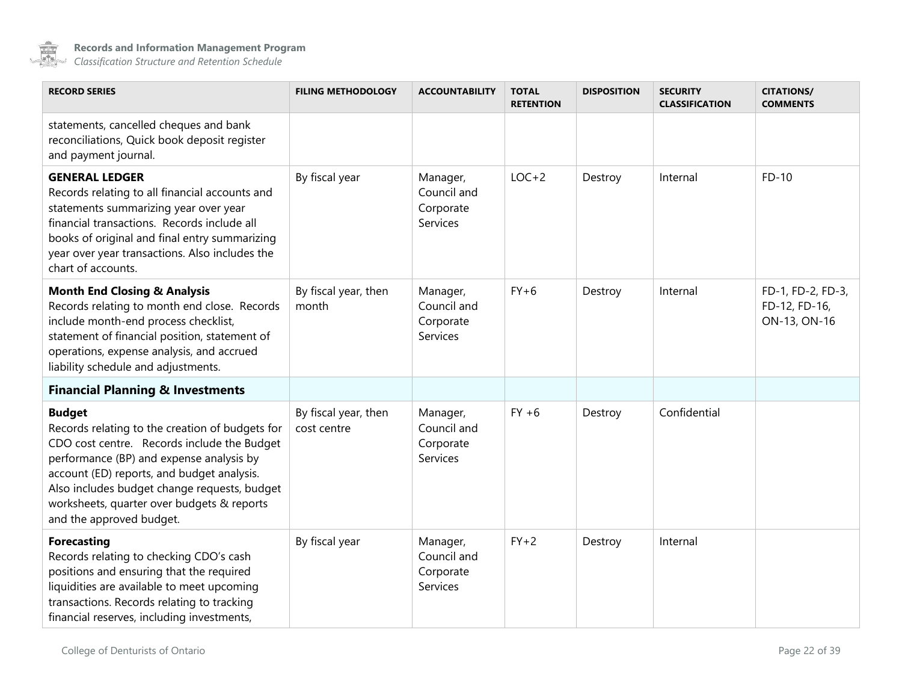

<span id="page-21-0"></span>

| <b>RECORD SERIES</b>                                                                                                                                                                                                                                                                                                                | <b>FILING METHODOLOGY</b>           | <b>ACCOUNTABILITY</b>                            | <b>TOTAL</b><br><b>RETENTION</b> | <b>DISPOSITION</b> | <b>SECURITY</b><br><b>CLASSIFICATION</b> | <b>CITATIONS/</b><br><b>COMMENTS</b>               |
|-------------------------------------------------------------------------------------------------------------------------------------------------------------------------------------------------------------------------------------------------------------------------------------------------------------------------------------|-------------------------------------|--------------------------------------------------|----------------------------------|--------------------|------------------------------------------|----------------------------------------------------|
| statements, cancelled cheques and bank<br>reconciliations, Quick book deposit register<br>and payment journal.                                                                                                                                                                                                                      |                                     |                                                  |                                  |                    |                                          |                                                    |
| <b>GENERAL LEDGER</b><br>Records relating to all financial accounts and<br>statements summarizing year over year<br>financial transactions. Records include all<br>books of original and final entry summarizing<br>year over year transactions. Also includes the<br>chart of accounts.                                            | By fiscal year                      | Manager,<br>Council and<br>Corporate<br>Services | $LOC+2$                          | Destroy            | Internal                                 | $FD-10$                                            |
| <b>Month End Closing &amp; Analysis</b><br>Records relating to month end close. Records<br>include month-end process checklist,<br>statement of financial position, statement of<br>operations, expense analysis, and accrued<br>liability schedule and adjustments.                                                                | By fiscal year, then<br>month       | Manager,<br>Council and<br>Corporate<br>Services | $FY+6$                           | Destroy            | Internal                                 | FD-1, FD-2, FD-3,<br>FD-12, FD-16,<br>ON-13, ON-16 |
| <b>Financial Planning &amp; Investments</b>                                                                                                                                                                                                                                                                                         |                                     |                                                  |                                  |                    |                                          |                                                    |
| <b>Budget</b><br>Records relating to the creation of budgets for<br>CDO cost centre. Records include the Budget<br>performance (BP) and expense analysis by<br>account (ED) reports, and budget analysis.<br>Also includes budget change requests, budget<br>worksheets, quarter over budgets & reports<br>and the approved budget. | By fiscal year, then<br>cost centre | Manager,<br>Council and<br>Corporate<br>Services | $FY + 6$                         | Destroy            | Confidential                             |                                                    |
| <b>Forecasting</b><br>Records relating to checking CDO's cash<br>positions and ensuring that the required<br>liquidities are available to meet upcoming<br>transactions. Records relating to tracking<br>financial reserves, including investments,                                                                                 | By fiscal year                      | Manager,<br>Council and<br>Corporate<br>Services | $FY+2$                           | Destroy            | Internal                                 |                                                    |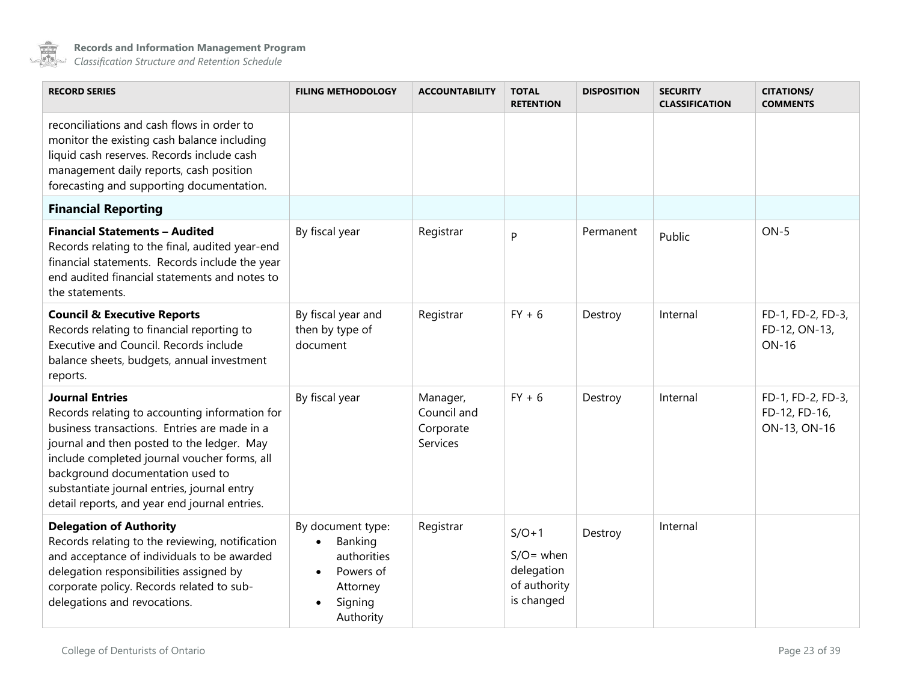

<span id="page-22-0"></span>

| <b>RECORD SERIES</b>                                                                                                                                                                                                                                                                                                                                       | <b>FILING METHODOLOGY</b>                                                                                              | <b>ACCOUNTABILITY</b>                            | <b>TOTAL</b><br><b>RETENTION</b>                                    | <b>DISPOSITION</b> | <b>SECURITY</b><br><b>CLASSIFICATION</b> | <b>CITATIONS/</b><br><b>COMMENTS</b>               |
|------------------------------------------------------------------------------------------------------------------------------------------------------------------------------------------------------------------------------------------------------------------------------------------------------------------------------------------------------------|------------------------------------------------------------------------------------------------------------------------|--------------------------------------------------|---------------------------------------------------------------------|--------------------|------------------------------------------|----------------------------------------------------|
| reconciliations and cash flows in order to<br>monitor the existing cash balance including<br>liquid cash reserves. Records include cash<br>management daily reports, cash position<br>forecasting and supporting documentation.                                                                                                                            |                                                                                                                        |                                                  |                                                                     |                    |                                          |                                                    |
| <b>Financial Reporting</b>                                                                                                                                                                                                                                                                                                                                 |                                                                                                                        |                                                  |                                                                     |                    |                                          |                                                    |
| <b>Financial Statements - Audited</b><br>Records relating to the final, audited year-end<br>financial statements. Records include the year<br>end audited financial statements and notes to<br>the statements.                                                                                                                                             | By fiscal year                                                                                                         | Registrar                                        | P                                                                   | Permanent          | Public                                   | $ON-5$                                             |
| <b>Council &amp; Executive Reports</b><br>Records relating to financial reporting to<br>Executive and Council, Records include<br>balance sheets, budgets, annual investment<br>reports.                                                                                                                                                                   | By fiscal year and<br>then by type of<br>document                                                                      | Registrar                                        | $FY + 6$                                                            | Destroy            | Internal                                 | FD-1, FD-2, FD-3,<br>FD-12, ON-13,<br><b>ON-16</b> |
| <b>Journal Entries</b><br>Records relating to accounting information for<br>business transactions. Entries are made in a<br>journal and then posted to the ledger. May<br>include completed journal voucher forms, all<br>background documentation used to<br>substantiate journal entries, journal entry<br>detail reports, and year end journal entries. | By fiscal year                                                                                                         | Manager,<br>Council and<br>Corporate<br>Services | $FY + 6$                                                            | Destroy            | Internal                                 | FD-1, FD-2, FD-3,<br>FD-12, FD-16,<br>ON-13, ON-16 |
| <b>Delegation of Authority</b><br>Records relating to the reviewing, notification<br>and acceptance of individuals to be awarded<br>delegation responsibilities assigned by<br>corporate policy. Records related to sub-<br>delegations and revocations.                                                                                                   | By document type:<br>Banking<br>$\bullet$<br>authorities<br>Powers of<br>$\bullet$<br>Attorney<br>Signing<br>Authority | Registrar                                        | $S/O+1$<br>$S/O =$ when<br>delegation<br>of authority<br>is changed | Destroy            | Internal                                 |                                                    |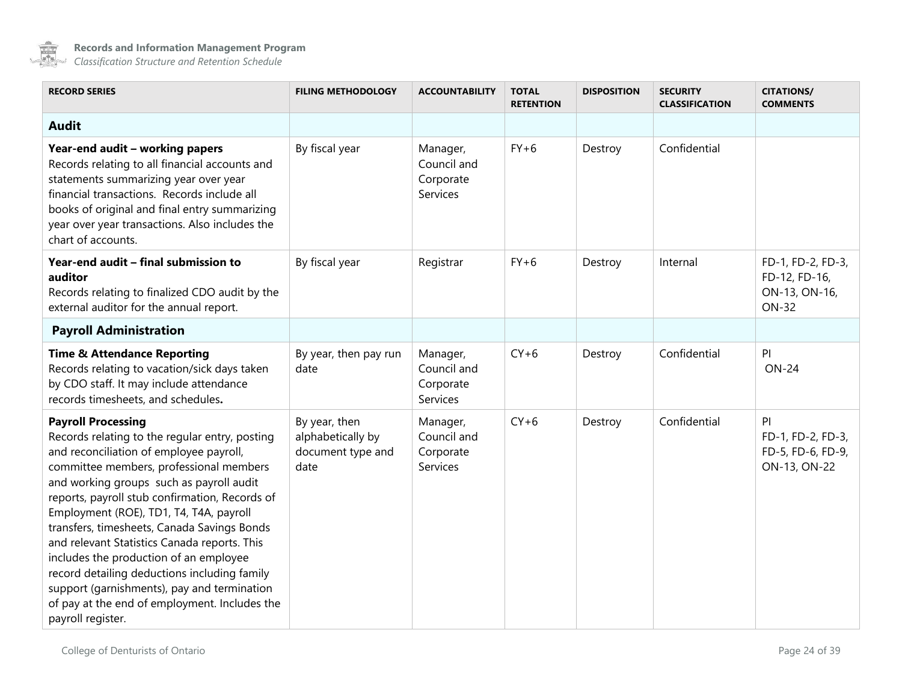

<span id="page-23-1"></span><span id="page-23-0"></span>

| <b>RECORD SERIES</b>                                                                                                                                                                                                                                                                                                                                                                                                                                                                                                                                                                                                     | <b>FILING METHODOLOGY</b>                                       | <b>ACCOUNTABILITY</b>                            | <b>TOTAL</b><br><b>RETENTION</b> | <b>DISPOSITION</b> | <b>SECURITY</b><br><b>CLASSIFICATION</b> | <b>CITATIONS/</b><br><b>COMMENTS</b>                                |
|--------------------------------------------------------------------------------------------------------------------------------------------------------------------------------------------------------------------------------------------------------------------------------------------------------------------------------------------------------------------------------------------------------------------------------------------------------------------------------------------------------------------------------------------------------------------------------------------------------------------------|-----------------------------------------------------------------|--------------------------------------------------|----------------------------------|--------------------|------------------------------------------|---------------------------------------------------------------------|
| <b>Audit</b>                                                                                                                                                                                                                                                                                                                                                                                                                                                                                                                                                                                                             |                                                                 |                                                  |                                  |                    |                                          |                                                                     |
| Year-end audit - working papers<br>Records relating to all financial accounts and<br>statements summarizing year over year<br>financial transactions. Records include all<br>books of original and final entry summarizing<br>year over year transactions. Also includes the<br>chart of accounts.                                                                                                                                                                                                                                                                                                                       | By fiscal year                                                  | Manager,<br>Council and<br>Corporate<br>Services | $FY+6$                           | Destroy            | Confidential                             |                                                                     |
| Year-end audit - final submission to<br>auditor<br>Records relating to finalized CDO audit by the<br>external auditor for the annual report.                                                                                                                                                                                                                                                                                                                                                                                                                                                                             | By fiscal year                                                  | Registrar                                        | $FY+6$                           | Destroy            | Internal                                 | FD-1, FD-2, FD-3,<br>FD-12, FD-16,<br>ON-13, ON-16,<br><b>ON-32</b> |
| <b>Payroll Administration</b>                                                                                                                                                                                                                                                                                                                                                                                                                                                                                                                                                                                            |                                                                 |                                                  |                                  |                    |                                          |                                                                     |
| <b>Time &amp; Attendance Reporting</b><br>Records relating to vacation/sick days taken<br>by CDO staff. It may include attendance<br>records timesheets, and schedules.                                                                                                                                                                                                                                                                                                                                                                                                                                                  | By year, then pay run<br>date                                   | Manager,<br>Council and<br>Corporate<br>Services | $CY+6$                           | Destroy            | Confidential                             | PI<br><b>ON-24</b>                                                  |
| <b>Payroll Processing</b><br>Records relating to the regular entry, posting<br>and reconciliation of employee payroll,<br>committee members, professional members<br>and working groups such as payroll audit<br>reports, payroll stub confirmation, Records of<br>Employment (ROE), TD1, T4, T4A, payroll<br>transfers, timesheets, Canada Savings Bonds<br>and relevant Statistics Canada reports. This<br>includes the production of an employee<br>record detailing deductions including family<br>support (garnishments), pay and termination<br>of pay at the end of employment. Includes the<br>payroll register. | By year, then<br>alphabetically by<br>document type and<br>date | Manager,<br>Council and<br>Corporate<br>Services | $CY+6$                           | Destroy            | Confidential                             | PI<br>FD-1, FD-2, FD-3,<br>FD-5, FD-6, FD-9,<br>ON-13, ON-22        |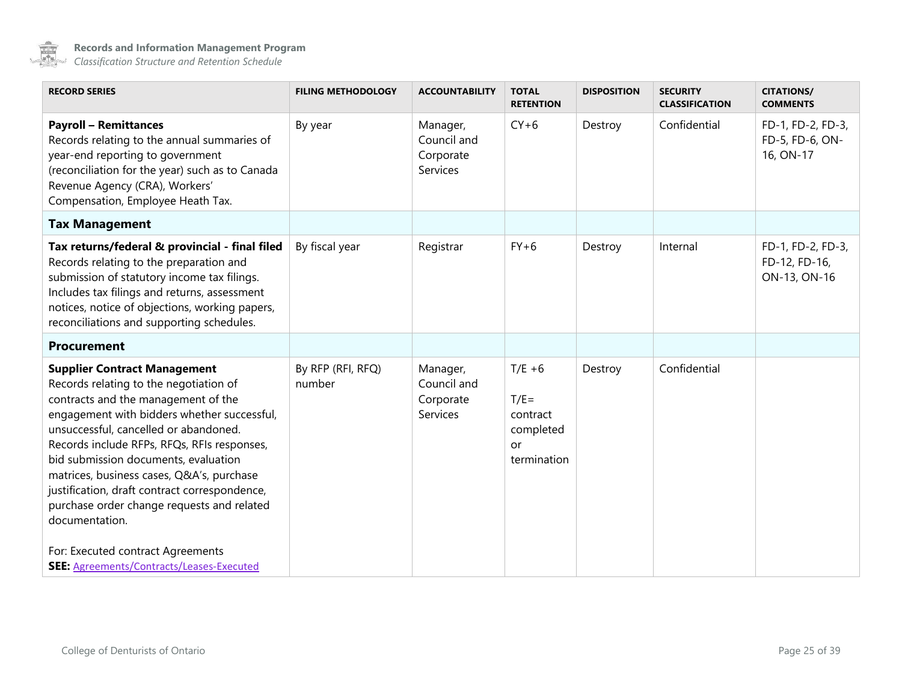

<span id="page-24-1"></span><span id="page-24-0"></span>

| <b>RECORD SERIES</b>                                                                                                                                                                                                                                                                                                                                                                                                                                              | <b>FILING METHODOLOGY</b>   | <b>ACCOUNTABILITY</b>                            | <b>TOTAL</b><br><b>RETENTION</b>                                          | <b>DISPOSITION</b> | <b>SECURITY</b><br><b>CLASSIFICATION</b> | <b>CITATIONS/</b><br><b>COMMENTS</b>               |
|-------------------------------------------------------------------------------------------------------------------------------------------------------------------------------------------------------------------------------------------------------------------------------------------------------------------------------------------------------------------------------------------------------------------------------------------------------------------|-----------------------------|--------------------------------------------------|---------------------------------------------------------------------------|--------------------|------------------------------------------|----------------------------------------------------|
| <b>Payroll - Remittances</b><br>Records relating to the annual summaries of<br>year-end reporting to government<br>(reconciliation for the year) such as to Canada<br>Revenue Agency (CRA), Workers'<br>Compensation, Employee Heath Tax.                                                                                                                                                                                                                         | By year                     | Manager,<br>Council and<br>Corporate<br>Services | $CY+6$                                                                    | Destroy            | Confidential                             | FD-1, FD-2, FD-3,<br>FD-5, FD-6, ON-<br>16, ON-17  |
| <b>Tax Management</b>                                                                                                                                                                                                                                                                                                                                                                                                                                             |                             |                                                  |                                                                           |                    |                                          |                                                    |
| Tax returns/federal & provincial - final filed<br>Records relating to the preparation and<br>submission of statutory income tax filings.<br>Includes tax filings and returns, assessment<br>notices, notice of objections, working papers,<br>reconciliations and supporting schedules.                                                                                                                                                                           | By fiscal year              | Registrar                                        | $FY+6$                                                                    | Destroy            | Internal                                 | FD-1, FD-2, FD-3,<br>FD-12, FD-16,<br>ON-13, ON-16 |
| Procurement                                                                                                                                                                                                                                                                                                                                                                                                                                                       |                             |                                                  |                                                                           |                    |                                          |                                                    |
| <b>Supplier Contract Management</b><br>Records relating to the negotiation of<br>contracts and the management of the<br>engagement with bidders whether successful,<br>unsuccessful, cancelled or abandoned.<br>Records include RFPs, RFQs, RFIs responses,<br>bid submission documents, evaluation<br>matrices, business cases, Q&A's, purchase<br>justification, draft contract correspondence,<br>purchase order change requests and related<br>documentation. | By RFP (RFI, RFQ)<br>number | Manager,<br>Council and<br>Corporate<br>Services | $T/E + 6$<br>$T/E =$<br>contract<br>completed<br><b>or</b><br>termination | Destroy            | Confidential                             |                                                    |
| For: Executed contract Agreements<br>SEE: Agreements/Contracts/Leases-Executed                                                                                                                                                                                                                                                                                                                                                                                    |                             |                                                  |                                                                           |                    |                                          |                                                    |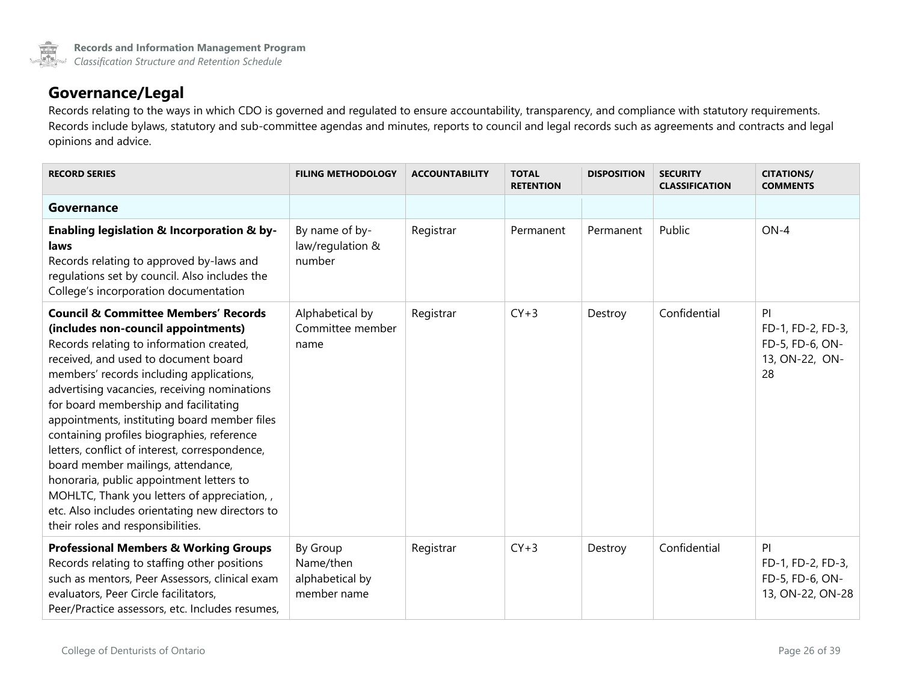

### **Governance/Legal**

Records relating to the ways in which CDO is governed and regulated to ensure accountability, transparency, and compliance with statutory requirements. Records include bylaws, statutory and sub-committee agendas and minutes, reports to council and legal records such as agreements and contracts and legal opinions and advice.

<span id="page-25-0"></span>

| <b>RECORD SERIES</b>                                                                                                                                                                                                                                                                                                                                                                                                                                                                                                                                                                                                                                                                    | <b>FILING METHODOLOGY</b>                               | <b>ACCOUNTABILITY</b> | <b>TOTAL</b><br><b>RETENTION</b> | <b>DISPOSITION</b> | <b>SECURITY</b><br><b>CLASSIFICATION</b> | <b>CITATIONS/</b><br><b>COMMENTS</b>                               |
|-----------------------------------------------------------------------------------------------------------------------------------------------------------------------------------------------------------------------------------------------------------------------------------------------------------------------------------------------------------------------------------------------------------------------------------------------------------------------------------------------------------------------------------------------------------------------------------------------------------------------------------------------------------------------------------------|---------------------------------------------------------|-----------------------|----------------------------------|--------------------|------------------------------------------|--------------------------------------------------------------------|
| Governance                                                                                                                                                                                                                                                                                                                                                                                                                                                                                                                                                                                                                                                                              |                                                         |                       |                                  |                    |                                          |                                                                    |
| Enabling legislation & Incorporation & by-<br>laws<br>Records relating to approved by-laws and<br>regulations set by council. Also includes the<br>College's incorporation documentation                                                                                                                                                                                                                                                                                                                                                                                                                                                                                                | By name of by-<br>law/regulation &<br>number            | Registrar             | Permanent                        | Permanent          | Public                                   | $ON-4$                                                             |
| <b>Council &amp; Committee Members' Records</b><br>(includes non-council appointments)<br>Records relating to information created,<br>received, and used to document board<br>members' records including applications,<br>advertising vacancies, receiving nominations<br>for board membership and facilitating<br>appointments, instituting board member files<br>containing profiles biographies, reference<br>letters, conflict of interest, correspondence,<br>board member mailings, attendance,<br>honoraria, public appointment letters to<br>MOHLTC, Thank you letters of appreciation,<br>etc. Also includes orientating new directors to<br>their roles and responsibilities. | Alphabetical by<br>Committee member<br>name             | Registrar             | $CY+3$                           | Destroy            | Confidential                             | PI<br>FD-1, FD-2, FD-3,<br>FD-5, FD-6, ON-<br>13, ON-22, ON-<br>28 |
| <b>Professional Members &amp; Working Groups</b><br>Records relating to staffing other positions<br>such as mentors, Peer Assessors, clinical exam<br>evaluators, Peer Circle facilitators,<br>Peer/Practice assessors, etc. Includes resumes,                                                                                                                                                                                                                                                                                                                                                                                                                                          | By Group<br>Name/then<br>alphabetical by<br>member name | Registrar             | $CY+3$                           | Destroy            | Confidential                             | PI<br>FD-1, FD-2, FD-3,<br>FD-5, FD-6, ON-<br>13, ON-22, ON-28     |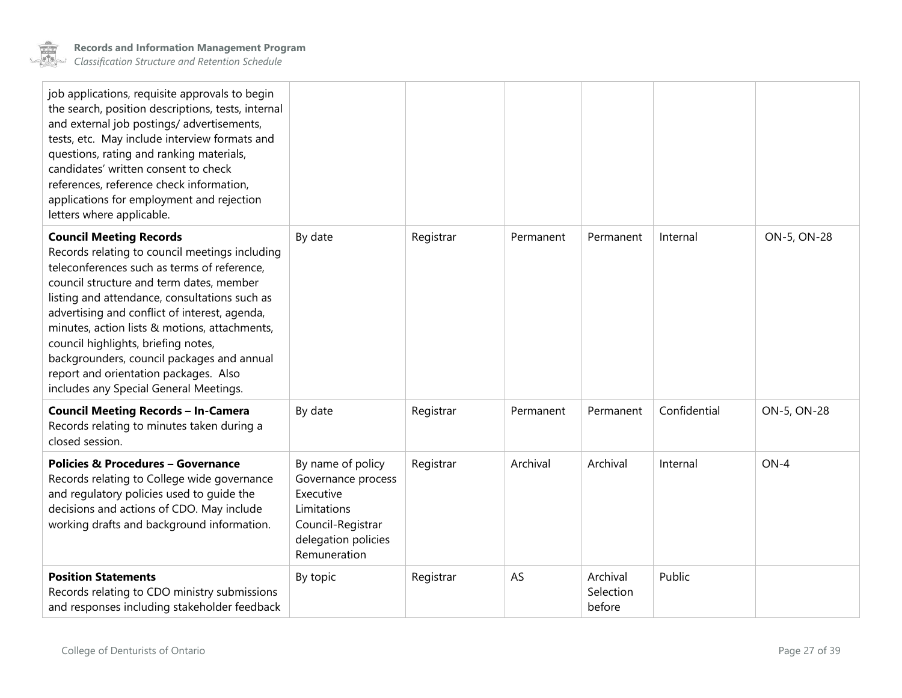<span id="page-26-0"></span>

| job applications, requisite approvals to begin<br>the search, position descriptions, tests, internal<br>and external job postings/ advertisements,<br>tests, etc. May include interview formats and<br>questions, rating and ranking materials,<br>candidates' written consent to check<br>references, reference check information,<br>applications for employment and rejection<br>letters where applicable.                                                                                          |                                                                                                                                 |           |           |                                 |              |             |
|--------------------------------------------------------------------------------------------------------------------------------------------------------------------------------------------------------------------------------------------------------------------------------------------------------------------------------------------------------------------------------------------------------------------------------------------------------------------------------------------------------|---------------------------------------------------------------------------------------------------------------------------------|-----------|-----------|---------------------------------|--------------|-------------|
| <b>Council Meeting Records</b><br>Records relating to council meetings including<br>teleconferences such as terms of reference,<br>council structure and term dates, member<br>listing and attendance, consultations such as<br>advertising and conflict of interest, agenda,<br>minutes, action lists & motions, attachments,<br>council highlights, briefing notes,<br>backgrounders, council packages and annual<br>report and orientation packages. Also<br>includes any Special General Meetings. | By date                                                                                                                         | Registrar | Permanent | Permanent                       | Internal     | ON-5, ON-28 |
| <b>Council Meeting Records - In-Camera</b><br>Records relating to minutes taken during a<br>closed session.                                                                                                                                                                                                                                                                                                                                                                                            | By date                                                                                                                         | Registrar | Permanent | Permanent                       | Confidential | ON-5, ON-28 |
| <b>Policies &amp; Procedures - Governance</b><br>Records relating to College wide governance<br>and regulatory policies used to guide the<br>decisions and actions of CDO. May include<br>working drafts and background information.                                                                                                                                                                                                                                                                   | By name of policy<br>Governance process<br>Executive<br>Limitations<br>Council-Registrar<br>delegation policies<br>Remuneration | Registrar | Archival  | Archival                        | Internal     | $ON-4$      |
| <b>Position Statements</b><br>Records relating to CDO ministry submissions<br>and responses including stakeholder feedback                                                                                                                                                                                                                                                                                                                                                                             | By topic                                                                                                                        | Registrar | AS        | Archival<br>Selection<br>before | Public       |             |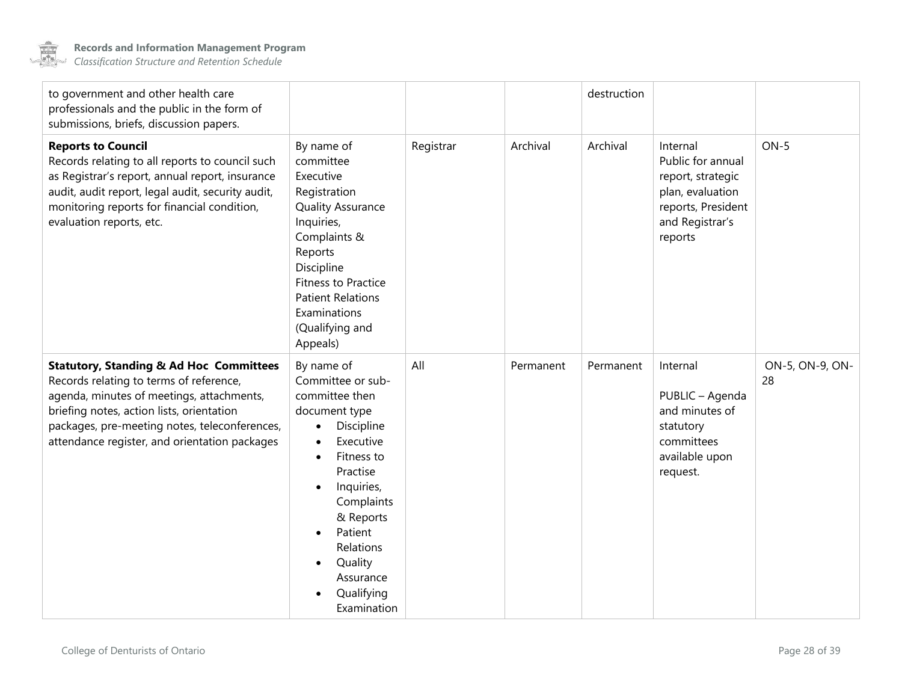

<span id="page-27-0"></span>

| to government and other health care<br>professionals and the public in the form of<br>submissions, briefs, discussion papers.                                                                                                                                                             |                                                                                                                                                                                                                                                                                                   |           |           | destruction |                                                                                                                            |                       |
|-------------------------------------------------------------------------------------------------------------------------------------------------------------------------------------------------------------------------------------------------------------------------------------------|---------------------------------------------------------------------------------------------------------------------------------------------------------------------------------------------------------------------------------------------------------------------------------------------------|-----------|-----------|-------------|----------------------------------------------------------------------------------------------------------------------------|-----------------------|
| <b>Reports to Council</b><br>Records relating to all reports to council such<br>as Registrar's report, annual report, insurance<br>audit, audit report, legal audit, security audit,<br>monitoring reports for financial condition,<br>evaluation reports, etc.                           | By name of<br>committee<br>Executive<br>Registration<br><b>Quality Assurance</b><br>Inquiries,<br>Complaints &<br>Reports<br>Discipline<br><b>Fitness to Practice</b><br><b>Patient Relations</b><br>Examinations<br>(Qualifying and<br>Appeals)                                                  | Registrar | Archival  | Archival    | Internal<br>Public for annual<br>report, strategic<br>plan, evaluation<br>reports, President<br>and Registrar's<br>reports | $ON-5$                |
| <b>Statutory, Standing &amp; Ad Hoc Committees</b><br>Records relating to terms of reference,<br>agenda, minutes of meetings, attachments,<br>briefing notes, action lists, orientation<br>packages, pre-meeting notes, teleconferences,<br>attendance register, and orientation packages | By name of<br>Committee or sub-<br>committee then<br>document type<br>Discipline<br>$\bullet$<br>Executive<br>Fitness to<br>Practise<br>Inquiries,<br>$\bullet$<br>Complaints<br>& Reports<br>Patient<br>$\bullet$<br>Relations<br>Quality<br>$\bullet$<br>Assurance<br>Qualifying<br>Examination | All       | Permanent | Permanent   | Internal<br>PUBLIC - Agenda<br>and minutes of<br>statutory<br>committees<br>available upon<br>request.                     | ON-5, ON-9, ON-<br>28 |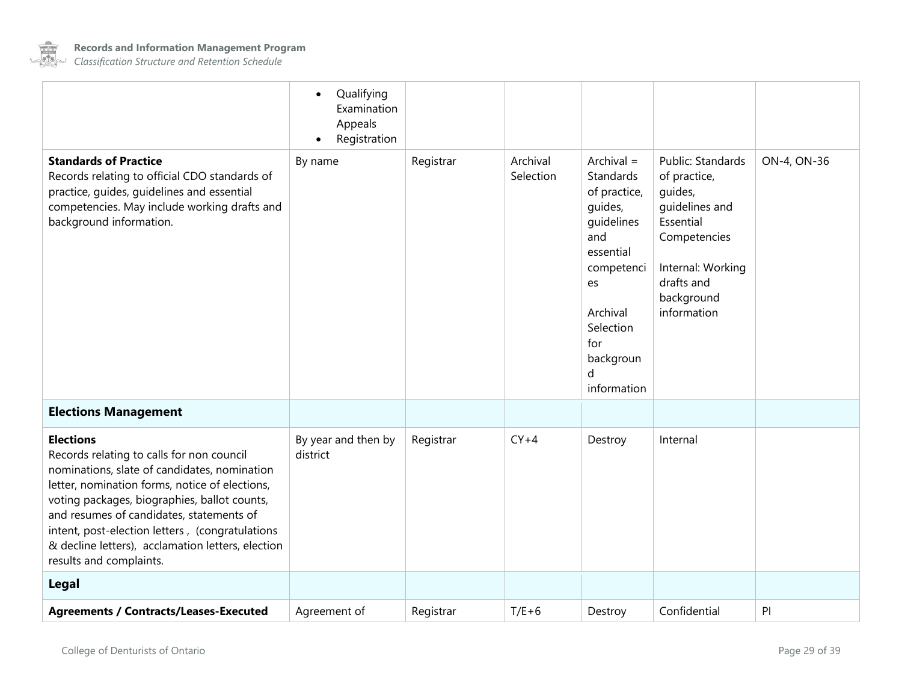

<span id="page-28-1"></span><span id="page-28-0"></span>

| <b>Agreements / Contracts/Leases-Executed</b>                                                                                                                                                                                                                                                                                                                                                  | Agreement of                                                      | Registrar | $T/E+6$               | Destroy                                                                                                                                                                                | Confidential                                                                                                                                                | PI          |
|------------------------------------------------------------------------------------------------------------------------------------------------------------------------------------------------------------------------------------------------------------------------------------------------------------------------------------------------------------------------------------------------|-------------------------------------------------------------------|-----------|-----------------------|----------------------------------------------------------------------------------------------------------------------------------------------------------------------------------------|-------------------------------------------------------------------------------------------------------------------------------------------------------------|-------------|
| Legal                                                                                                                                                                                                                                                                                                                                                                                          |                                                                   |           |                       |                                                                                                                                                                                        |                                                                                                                                                             |             |
| <b>Elections</b><br>Records relating to calls for non council<br>nominations, slate of candidates, nomination<br>letter, nomination forms, notice of elections,<br>voting packages, biographies, ballot counts,<br>and resumes of candidates, statements of<br>intent, post-election letters, (congratulations<br>& decline letters), acclamation letters, election<br>results and complaints. | By year and then by<br>district                                   | Registrar | $CY+4$                | Destroy                                                                                                                                                                                | Internal                                                                                                                                                    |             |
| <b>Elections Management</b>                                                                                                                                                                                                                                                                                                                                                                    |                                                                   |           |                       |                                                                                                                                                                                        |                                                                                                                                                             |             |
| <b>Standards of Practice</b><br>Records relating to official CDO standards of<br>practice, guides, guidelines and essential<br>competencies. May include working drafts and<br>background information.                                                                                                                                                                                         | By name                                                           | Registrar | Archival<br>Selection | Archival $=$<br>Standards<br>of practice,<br>quides,<br>quidelines<br>and<br>essential<br>competenci<br>es<br>Archival<br>Selection<br>for<br>backgroun<br><sub>d</sub><br>information | Public: Standards<br>of practice,<br>guides,<br>guidelines and<br>Essential<br>Competencies<br>Internal: Working<br>drafts and<br>background<br>information | ON-4, ON-36 |
|                                                                                                                                                                                                                                                                                                                                                                                                | Qualifying<br>$\bullet$<br>Examination<br>Appeals<br>Registration |           |                       |                                                                                                                                                                                        |                                                                                                                                                             |             |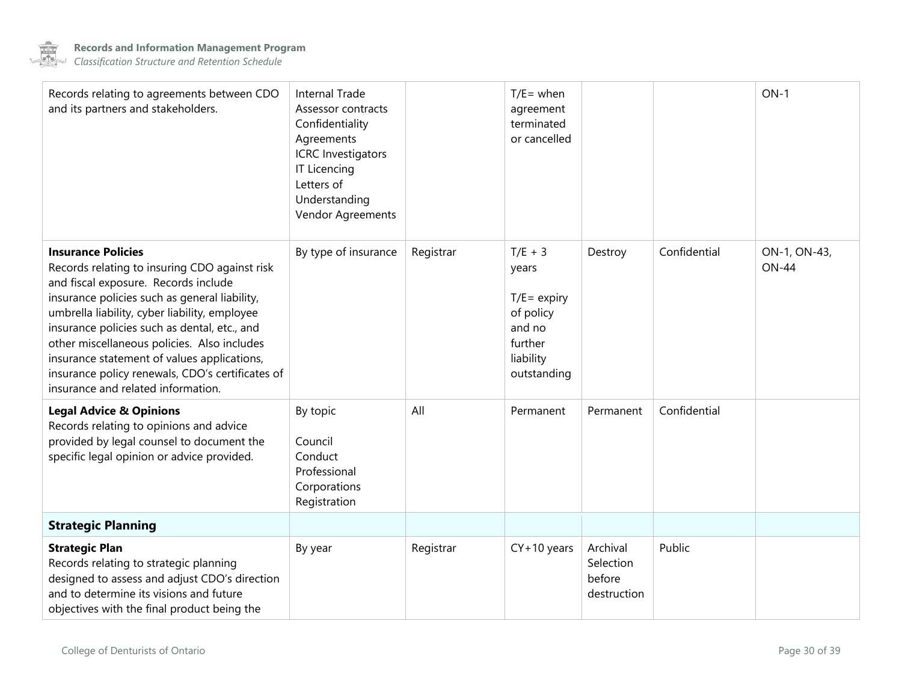

| Records relating to agreements between CDO<br>and its partners and stakeholders.                                                                                                                                                                                                                                                                                                                                                                             | <b>Internal Trade</b><br>Assessor contracts<br>Confidentiality<br>Agreements<br><b>ICRC</b> Investigators<br><b>IT Licencing</b><br>Letters of<br>Understanding<br>Vendor Agreements |           | $T/E =$ when<br>agreement<br>terminated<br>or cancelled                                            |                                                |              | $ON-1$                       |
|--------------------------------------------------------------------------------------------------------------------------------------------------------------------------------------------------------------------------------------------------------------------------------------------------------------------------------------------------------------------------------------------------------------------------------------------------------------|--------------------------------------------------------------------------------------------------------------------------------------------------------------------------------------|-----------|----------------------------------------------------------------------------------------------------|------------------------------------------------|--------------|------------------------------|
| <b>Insurance Policies</b><br>Records relating to insuring CDO against risk<br>and fiscal exposure. Records include<br>insurance policies such as general liability,<br>umbrella liability, cyber liability, employee<br>insurance policies such as dental, etc., and<br>other miscellaneous policies. Also includes<br>insurance statement of values applications,<br>insurance policy renewals, CDO's certificates of<br>insurance and related information. | By type of insurance                                                                                                                                                                 | Registrar | $T/E + 3$<br>years<br>$T/E = expiry$<br>of policy<br>and no<br>further<br>liability<br>outstanding | Destroy                                        | Confidential | ON-1, ON-43,<br><b>ON-44</b> |
| <b>Legal Advice &amp; Opinions</b><br>Records relating to opinions and advice<br>provided by legal counsel to document the<br>specific legal opinion or advice provided.                                                                                                                                                                                                                                                                                     | By topic<br>Council<br>Conduct<br>Professional<br>Corporations<br>Registration                                                                                                       | All       | Permanent                                                                                          | Permanent                                      | Confidential |                              |
| <b>Strategic Planning</b>                                                                                                                                                                                                                                                                                                                                                                                                                                    |                                                                                                                                                                                      |           |                                                                                                    |                                                |              |                              |
| <b>Strategic Plan</b><br>Records relating to strategic planning<br>designed to assess and adjust CDO's direction<br>and to determine its visions and future<br>objectives with the final product being the                                                                                                                                                                                                                                                   | By year                                                                                                                                                                              | Registrar | $CY+10$ years                                                                                      | Archival<br>Selection<br>before<br>destruction | Public       |                              |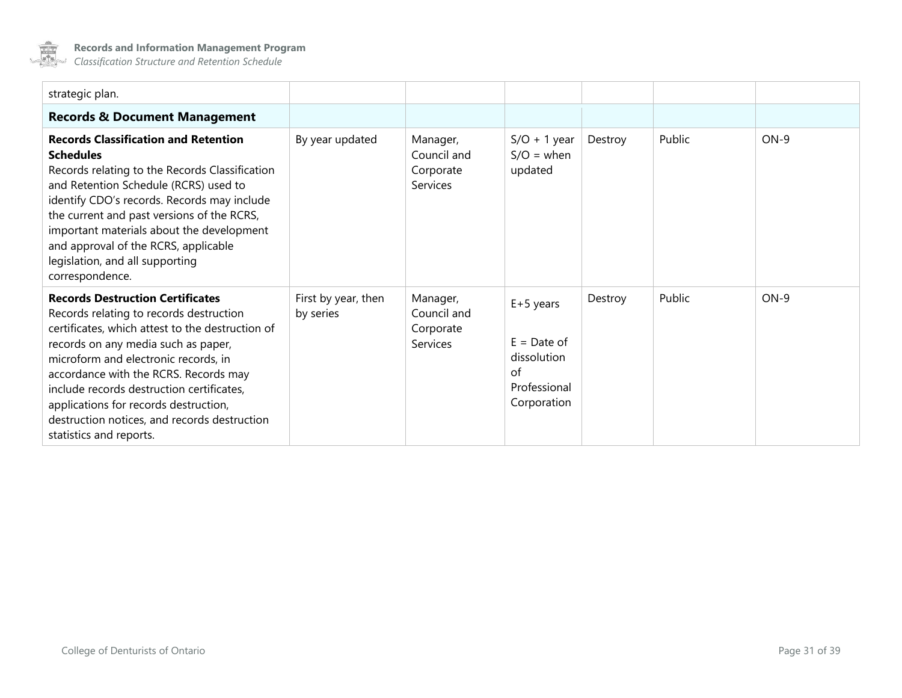

| strategic plan.                                                                                                                                                                                                                                                                                                                                                                                                                 |                                  |                                                         |                                                                                  |         |        |        |
|---------------------------------------------------------------------------------------------------------------------------------------------------------------------------------------------------------------------------------------------------------------------------------------------------------------------------------------------------------------------------------------------------------------------------------|----------------------------------|---------------------------------------------------------|----------------------------------------------------------------------------------|---------|--------|--------|
| <b>Records &amp; Document Management</b>                                                                                                                                                                                                                                                                                                                                                                                        |                                  |                                                         |                                                                                  |         |        |        |
| <b>Records Classification and Retention</b><br><b>Schedules</b><br>Records relating to the Records Classification<br>and Retention Schedule (RCRS) used to<br>identify CDO's records. Records may include<br>the current and past versions of the RCRS,<br>important materials about the development<br>and approval of the RCRS, applicable<br>legislation, and all supporting<br>correspondence.                              | By year updated                  | Manager,<br>Council and<br>Corporate<br><b>Services</b> | $S/O + 1$ year<br>$S/O = when$<br>updated                                        | Destroy | Public | $ON-9$ |
| <b>Records Destruction Certificates</b><br>Records relating to records destruction<br>certificates, which attest to the destruction of<br>records on any media such as paper,<br>microform and electronic records, in<br>accordance with the RCRS. Records may<br>include records destruction certificates,<br>applications for records destruction,<br>destruction notices, and records destruction<br>statistics and reports. | First by year, then<br>by series | Manager,<br>Council and<br>Corporate<br>Services        | $E+5$ years<br>$E =$ Date of<br>dissolution<br>of<br>Professional<br>Corporation | Destroy | Public | $ON-9$ |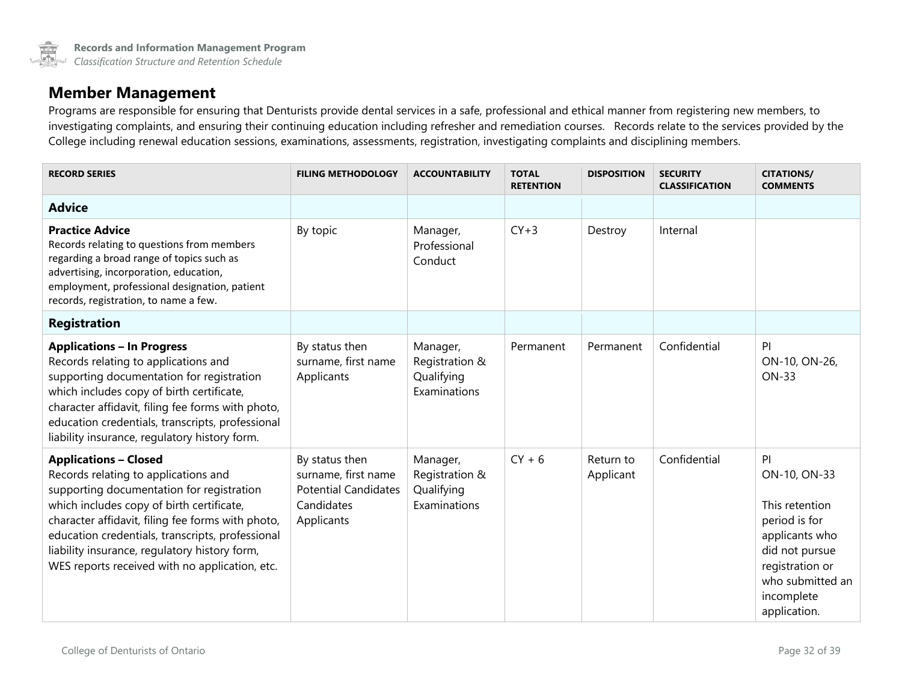### **Member Management**

Programs are responsible for ensuring that Denturists provide dental services in a safe, professional and ethical manner from registering new members, to investigating complaints, and ensuring their continuing education including refresher and remediation courses. Records relate to the services provided by the College including renewal education sessions, examinations, assessments, registration, investigating complaints and disciplining members.

<span id="page-31-1"></span><span id="page-31-0"></span>

| <b>RECORD SERIES</b>                                                                                                                                                                                                                                                                                                                                                       | <b>FILING METHODOLOGY</b>                                                                        | <b>ACCOUNTABILITY</b>                                    | <b>TOTAL</b><br><b>RETENTION</b> | <b>DISPOSITION</b>     | <b>SECURITY</b><br><b>CLASSIFICATION</b> | <b>CITATIONS/</b><br><b>COMMENTS</b>                                                                                                                           |
|----------------------------------------------------------------------------------------------------------------------------------------------------------------------------------------------------------------------------------------------------------------------------------------------------------------------------------------------------------------------------|--------------------------------------------------------------------------------------------------|----------------------------------------------------------|----------------------------------|------------------------|------------------------------------------|----------------------------------------------------------------------------------------------------------------------------------------------------------------|
| <b>Advice</b>                                                                                                                                                                                                                                                                                                                                                              |                                                                                                  |                                                          |                                  |                        |                                          |                                                                                                                                                                |
| <b>Practice Advice</b><br>Records relating to questions from members<br>regarding a broad range of topics such as<br>advertising, incorporation, education,<br>employment, professional designation, patient<br>records, registration, to name a few.                                                                                                                      | By topic                                                                                         | Manager,<br>Professional<br>Conduct                      | $CY+3$                           | Destroy                | Internal                                 |                                                                                                                                                                |
| <b>Registration</b>                                                                                                                                                                                                                                                                                                                                                        |                                                                                                  |                                                          |                                  |                        |                                          |                                                                                                                                                                |
| <b>Applications - In Progress</b><br>Records relating to applications and<br>supporting documentation for registration<br>which includes copy of birth certificate,<br>character affidavit, filing fee forms with photo,<br>education credentials, transcripts, professional<br>liability insurance, regulatory history form.                                              | By status then<br>surname, first name<br>Applicants                                              | Manager,<br>Registration &<br>Qualifying<br>Examinations | Permanent                        | Permanent              | Confidential                             | PI<br>ON-10, ON-26,<br><b>ON-33</b>                                                                                                                            |
| <b>Applications - Closed</b><br>Records relating to applications and<br>supporting documentation for registration<br>which includes copy of birth certificate,<br>character affidavit, filing fee forms with photo,<br>education credentials, transcripts, professional<br>liability insurance, regulatory history form,<br>WES reports received with no application, etc. | By status then<br>surname, first name<br><b>Potential Candidates</b><br>Candidates<br>Applicants | Manager,<br>Registration &<br>Qualifying<br>Examinations | $CY + 6$                         | Return to<br>Applicant | Confidential                             | PI<br>ON-10, ON-33<br>This retention<br>period is for<br>applicants who<br>did not pursue<br>registration or<br>who submitted an<br>incomplete<br>application. |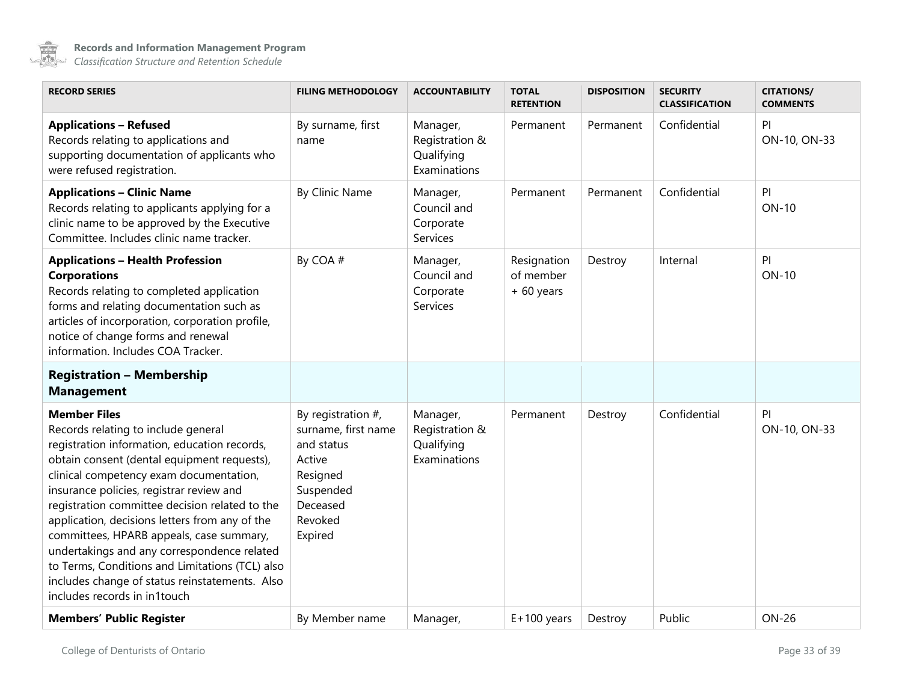

<span id="page-32-0"></span>

| <b>RECORD SERIES</b>                                                                                                                                                                                                                                                                                                                                                                                                                                                                                                                                                                 | <b>FILING METHODOLOGY</b>                                                                                                       | <b>ACCOUNTABILITY</b>                                    | <b>TOTAL</b><br><b>RETENTION</b>        | <b>DISPOSITION</b> | <b>SECURITY</b><br><b>CLASSIFICATION</b> | <b>CITATIONS/</b><br><b>COMMENTS</b> |
|--------------------------------------------------------------------------------------------------------------------------------------------------------------------------------------------------------------------------------------------------------------------------------------------------------------------------------------------------------------------------------------------------------------------------------------------------------------------------------------------------------------------------------------------------------------------------------------|---------------------------------------------------------------------------------------------------------------------------------|----------------------------------------------------------|-----------------------------------------|--------------------|------------------------------------------|--------------------------------------|
| <b>Applications - Refused</b><br>Records relating to applications and<br>supporting documentation of applicants who<br>were refused registration.                                                                                                                                                                                                                                                                                                                                                                                                                                    | By surname, first<br>name                                                                                                       | Manager,<br>Registration &<br>Qualifying<br>Examinations | Permanent                               | Permanent          | Confidential                             | PI.<br>ON-10, ON-33                  |
| <b>Applications - Clinic Name</b><br>Records relating to applicants applying for a<br>clinic name to be approved by the Executive<br>Committee. Includes clinic name tracker.                                                                                                                                                                                                                                                                                                                                                                                                        | By Clinic Name                                                                                                                  | Manager,<br>Council and<br>Corporate<br>Services         | Permanent                               | Permanent          | Confidential                             | PI<br><b>ON-10</b>                   |
| <b>Applications - Health Profession</b><br><b>Corporations</b><br>Records relating to completed application<br>forms and relating documentation such as<br>articles of incorporation, corporation profile,<br>notice of change forms and renewal<br>information. Includes COA Tracker.                                                                                                                                                                                                                                                                                               | By COA #                                                                                                                        | Manager,<br>Council and<br>Corporate<br>Services         | Resignation<br>of member<br>$+60$ years | Destroy            | Internal                                 | PI<br><b>ON-10</b>                   |
| <b>Registration - Membership</b><br><b>Management</b>                                                                                                                                                                                                                                                                                                                                                                                                                                                                                                                                |                                                                                                                                 |                                                          |                                         |                    |                                          |                                      |
| <b>Member Files</b><br>Records relating to include general<br>registration information, education records,<br>obtain consent (dental equipment requests),<br>clinical competency exam documentation,<br>insurance policies, registrar review and<br>registration committee decision related to the<br>application, decisions letters from any of the<br>committees, HPARB appeals, case summary,<br>undertakings and any correspondence related<br>to Terms, Conditions and Limitations (TCL) also<br>includes change of status reinstatements. Also<br>includes records in in1touch | By registration $#$ ,<br>surname, first name<br>and status<br>Active<br>Resigned<br>Suspended<br>Deceased<br>Revoked<br>Expired | Manager,<br>Registration &<br>Qualifying<br>Examinations | Permanent                               | Destroy            | Confidential                             | PI<br>ON-10, ON-33                   |
| <b>Members' Public Register</b>                                                                                                                                                                                                                                                                                                                                                                                                                                                                                                                                                      | By Member name                                                                                                                  | Manager,                                                 | $E+100$ years                           | Destroy            | Public                                   | <b>ON-26</b>                         |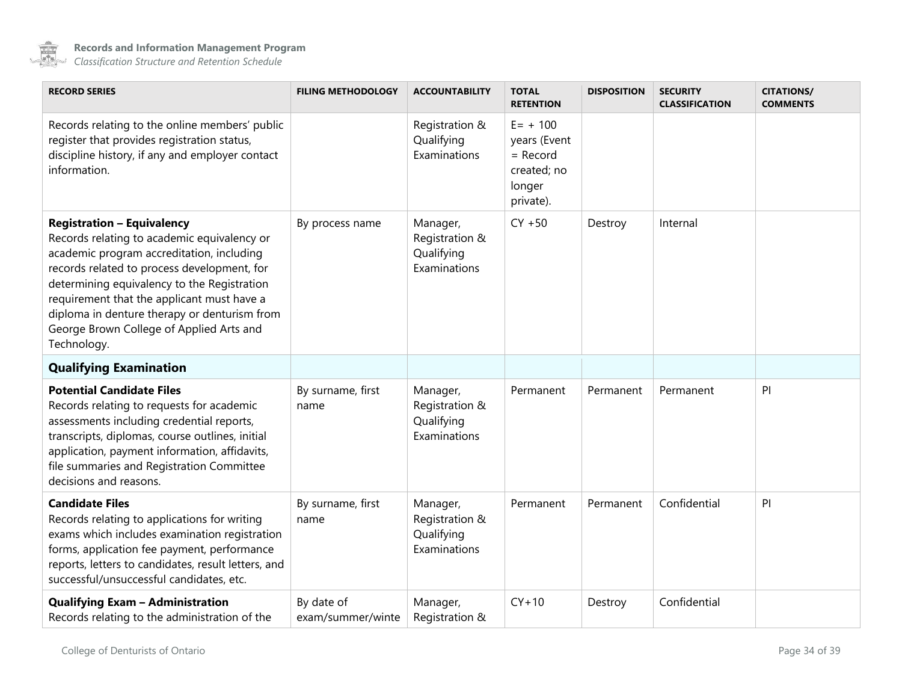

| <b>RECORD SERIES</b>                                                                                                                                                                                                                                                                                                                                                                 | <b>FILING METHODOLOGY</b>       | <b>ACCOUNTABILITY</b>                                    | <b>TOTAL</b><br><b>RETENTION</b>                                                | <b>DISPOSITION</b> | <b>SECURITY</b><br><b>CLASSIFICATION</b> | <b>CITATIONS/</b><br><b>COMMENTS</b> |
|--------------------------------------------------------------------------------------------------------------------------------------------------------------------------------------------------------------------------------------------------------------------------------------------------------------------------------------------------------------------------------------|---------------------------------|----------------------------------------------------------|---------------------------------------------------------------------------------|--------------------|------------------------------------------|--------------------------------------|
| Records relating to the online members' public<br>register that provides registration status,<br>discipline history, if any and employer contact<br>information.                                                                                                                                                                                                                     |                                 | Registration &<br>Qualifying<br>Examinations             | $E = + 100$<br>years (Event<br>$=$ Record<br>created; no<br>longer<br>private). |                    |                                          |                                      |
| <b>Registration - Equivalency</b><br>Records relating to academic equivalency or<br>academic program accreditation, including<br>records related to process development, for<br>determining equivalency to the Registration<br>requirement that the applicant must have a<br>diploma in denture therapy or denturism from<br>George Brown College of Applied Arts and<br>Technology. | By process name                 | Manager,<br>Registration &<br>Qualifying<br>Examinations | $CY + 50$                                                                       | Destroy            | Internal                                 |                                      |
| <b>Qualifying Examination</b>                                                                                                                                                                                                                                                                                                                                                        |                                 |                                                          |                                                                                 |                    |                                          |                                      |
| <b>Potential Candidate Files</b><br>Records relating to requests for academic<br>assessments including credential reports,<br>transcripts, diplomas, course outlines, initial<br>application, payment information, affidavits,<br>file summaries and Registration Committee<br>decisions and reasons.                                                                                | By surname, first<br>name       | Manager,<br>Registration &<br>Qualifying<br>Examinations | Permanent                                                                       | Permanent          | Permanent                                | PI                                   |
| <b>Candidate Files</b><br>Records relating to applications for writing<br>exams which includes examination registration<br>forms, application fee payment, performance<br>reports, letters to candidates, result letters, and<br>successful/unsuccessful candidates, etc.                                                                                                            | By surname, first<br>name       | Manager,<br>Registration &<br>Qualifying<br>Examinations | Permanent                                                                       | Permanent          | Confidential                             | P                                    |
| <b>Qualifying Exam - Administration</b><br>Records relating to the administration of the                                                                                                                                                                                                                                                                                             | By date of<br>exam/summer/winte | Manager,<br>Registration &                               | $CY+10$                                                                         | Destroy            | Confidential                             |                                      |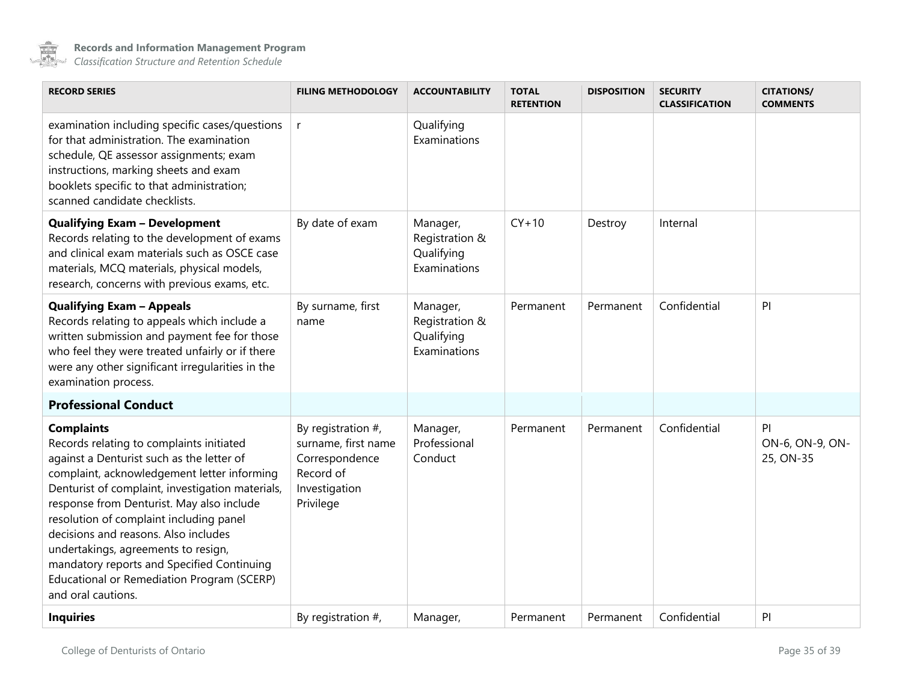

| <b>RECORD SERIES</b>                                                                                                                                                                                                                                                                                                                                                                                                                                                                                   | <b>FILING METHODOLOGY</b>                                                                                 | <b>ACCOUNTABILITY</b>                                    | <b>TOTAL</b><br><b>RETENTION</b> | <b>DISPOSITION</b> | <b>SECURITY</b><br><b>CLASSIFICATION</b> | <b>CITATIONS/</b><br><b>COMMENTS</b> |
|--------------------------------------------------------------------------------------------------------------------------------------------------------------------------------------------------------------------------------------------------------------------------------------------------------------------------------------------------------------------------------------------------------------------------------------------------------------------------------------------------------|-----------------------------------------------------------------------------------------------------------|----------------------------------------------------------|----------------------------------|--------------------|------------------------------------------|--------------------------------------|
| examination including specific cases/questions<br>for that administration. The examination<br>schedule, QE assessor assignments; exam<br>instructions, marking sheets and exam<br>booklets specific to that administration;<br>scanned candidate checklists.                                                                                                                                                                                                                                           | $\mathsf{r}$                                                                                              | Qualifying<br>Examinations                               |                                  |                    |                                          |                                      |
| <b>Qualifying Exam - Development</b><br>Records relating to the development of exams<br>and clinical exam materials such as OSCE case<br>materials, MCQ materials, physical models,<br>research, concerns with previous exams, etc.                                                                                                                                                                                                                                                                    | By date of exam                                                                                           | Manager,<br>Registration &<br>Qualifying<br>Examinations | $CY+10$                          | Destroy            | Internal                                 |                                      |
| <b>Qualifying Exam - Appeals</b><br>Records relating to appeals which include a<br>written submission and payment fee for those<br>who feel they were treated unfairly or if there<br>were any other significant irregularities in the<br>examination process.                                                                                                                                                                                                                                         | By surname, first<br>name                                                                                 | Manager,<br>Registration &<br>Qualifying<br>Examinations | Permanent                        | Permanent          | Confidential                             | PI                                   |
| <b>Professional Conduct</b>                                                                                                                                                                                                                                                                                                                                                                                                                                                                            |                                                                                                           |                                                          |                                  |                    |                                          |                                      |
| <b>Complaints</b><br>Records relating to complaints initiated<br>against a Denturist such as the letter of<br>complaint, acknowledgement letter informing<br>Denturist of complaint, investigation materials,<br>response from Denturist. May also include<br>resolution of complaint including panel<br>decisions and reasons. Also includes<br>undertakings, agreements to resign,<br>mandatory reports and Specified Continuing<br>Educational or Remediation Program (SCERP)<br>and oral cautions. | By registration $#$ ,<br>surname, first name<br>Correspondence<br>Record of<br>Investigation<br>Privilege | Manager,<br>Professional<br>Conduct                      | Permanent                        | Permanent          | Confidential                             | PI<br>ON-6, ON-9, ON-<br>25, ON-35   |
| <b>Inquiries</b>                                                                                                                                                                                                                                                                                                                                                                                                                                                                                       | By registration $#$ ,                                                                                     | Manager,                                                 | Permanent                        | Permanent          | Confidential                             | PI                                   |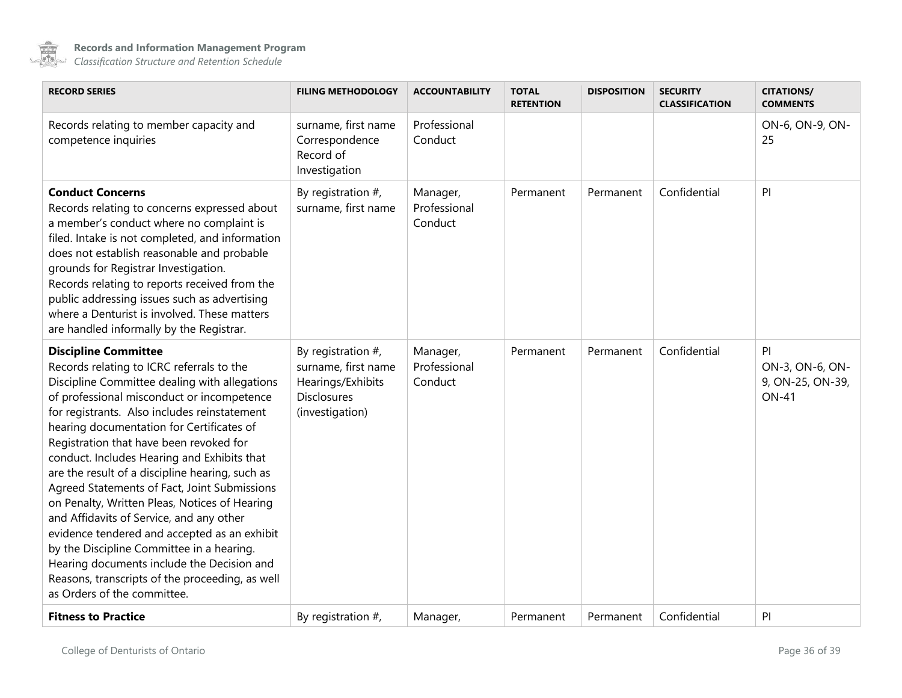

| <b>RECORD SERIES</b>                                                                                                                                                                                                                                                                                                                                                                                                                                                                                                                                                                                                                                                                                                                                                                        | <b>FILING METHODOLOGY</b>                                                                                  | <b>ACCOUNTABILITY</b>               | <b>TOTAL</b><br><b>RETENTION</b> | <b>DISPOSITION</b> | <b>SECURITY</b><br><b>CLASSIFICATION</b> | <b>CITATIONS/</b><br><b>COMMENTS</b>                      |
|---------------------------------------------------------------------------------------------------------------------------------------------------------------------------------------------------------------------------------------------------------------------------------------------------------------------------------------------------------------------------------------------------------------------------------------------------------------------------------------------------------------------------------------------------------------------------------------------------------------------------------------------------------------------------------------------------------------------------------------------------------------------------------------------|------------------------------------------------------------------------------------------------------------|-------------------------------------|----------------------------------|--------------------|------------------------------------------|-----------------------------------------------------------|
| Records relating to member capacity and<br>competence inquiries                                                                                                                                                                                                                                                                                                                                                                                                                                                                                                                                                                                                                                                                                                                             | surname, first name<br>Correspondence<br>Record of<br>Investigation                                        | Professional<br>Conduct             |                                  |                    |                                          | ON-6, ON-9, ON-<br>25                                     |
| <b>Conduct Concerns</b><br>Records relating to concerns expressed about<br>a member's conduct where no complaint is<br>filed. Intake is not completed, and information<br>does not establish reasonable and probable<br>grounds for Registrar Investigation.<br>Records relating to reports received from the<br>public addressing issues such as advertising<br>where a Denturist is involved. These matters<br>are handled informally by the Registrar.                                                                                                                                                                                                                                                                                                                                   | By registration $#$ ,<br>surname, first name                                                               | Manager,<br>Professional<br>Conduct | Permanent                        | Permanent          | Confidential                             | P                                                         |
| <b>Discipline Committee</b><br>Records relating to ICRC referrals to the<br>Discipline Committee dealing with allegations<br>of professional misconduct or incompetence<br>for registrants. Also includes reinstatement<br>hearing documentation for Certificates of<br>Registration that have been revoked for<br>conduct. Includes Hearing and Exhibits that<br>are the result of a discipline hearing, such as<br>Agreed Statements of Fact, Joint Submissions<br>on Penalty, Written Pleas, Notices of Hearing<br>and Affidavits of Service, and any other<br>evidence tendered and accepted as an exhibit<br>by the Discipline Committee in a hearing.<br>Hearing documents include the Decision and<br>Reasons, transcripts of the proceeding, as well<br>as Orders of the committee. | By registration $#$ ,<br>surname, first name<br>Hearings/Exhibits<br><b>Disclosures</b><br>(investigation) | Manager,<br>Professional<br>Conduct | Permanent                        | Permanent          | Confidential                             | PI<br>ON-3, ON-6, ON-<br>9, ON-25, ON-39,<br><b>ON-41</b> |
| <b>Fitness to Practice</b>                                                                                                                                                                                                                                                                                                                                                                                                                                                                                                                                                                                                                                                                                                                                                                  | By registration $#$ ,                                                                                      | Manager,                            | Permanent                        | Permanent          | Confidential                             | P                                                         |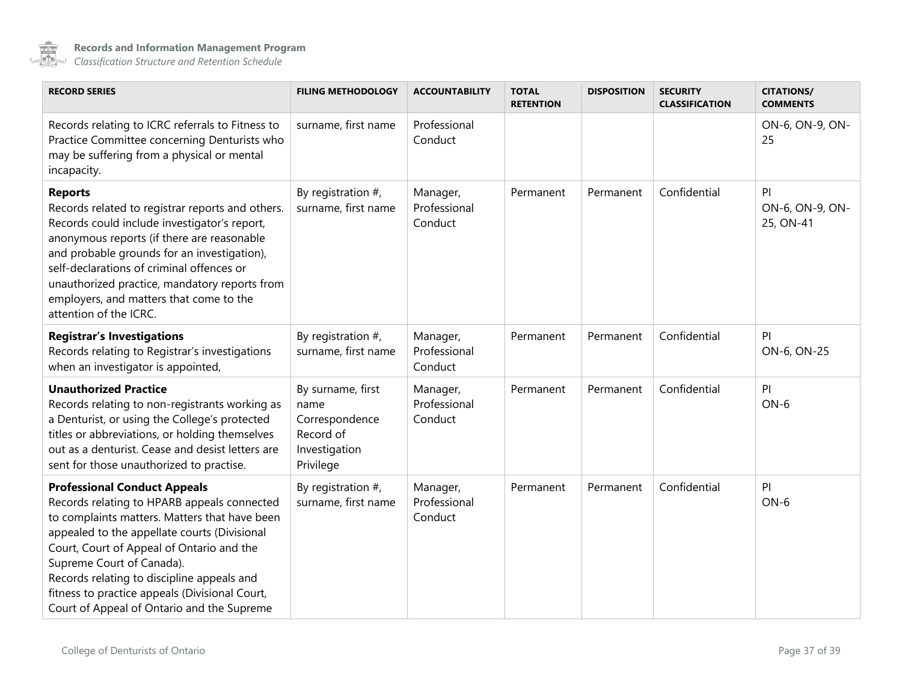

<span id="page-36-0"></span>

| <b>RECORD SERIES</b>                                                                                                                                                                                                                                                                                                                                                                                        | <b>FILING METHODOLOGY</b>                                                              | <b>ACCOUNTABILITY</b>               | <b>TOTAL</b><br><b>RETENTION</b> | <b>DISPOSITION</b> | <b>SECURITY</b><br><b>CLASSIFICATION</b> | <b>CITATIONS/</b><br><b>COMMENTS</b> |
|-------------------------------------------------------------------------------------------------------------------------------------------------------------------------------------------------------------------------------------------------------------------------------------------------------------------------------------------------------------------------------------------------------------|----------------------------------------------------------------------------------------|-------------------------------------|----------------------------------|--------------------|------------------------------------------|--------------------------------------|
| Records relating to ICRC referrals to Fitness to<br>Practice Committee concerning Denturists who<br>may be suffering from a physical or mental<br>incapacity.                                                                                                                                                                                                                                               | surname, first name                                                                    | Professional<br>Conduct             |                                  |                    |                                          | ON-6, ON-9, ON-<br>25                |
| <b>Reports</b><br>Records related to registrar reports and others.<br>Records could include investigator's report,<br>anonymous reports (if there are reasonable<br>and probable grounds for an investigation),<br>self-declarations of criminal offences or<br>unauthorized practice, mandatory reports from<br>employers, and matters that come to the<br>attention of the ICRC.                          | By registration $#$ ,<br>surname, first name                                           | Manager,<br>Professional<br>Conduct | Permanent                        | Permanent          | Confidential                             | PI<br>ON-6, ON-9, ON-<br>25, ON-41   |
| <b>Registrar's Investigations</b><br>Records relating to Registrar's investigations<br>when an investigator is appointed,                                                                                                                                                                                                                                                                                   | By registration $#$ ,<br>surname, first name                                           | Manager,<br>Professional<br>Conduct | Permanent                        | Permanent          | Confidential                             | PI<br>ON-6, ON-25                    |
| <b>Unauthorized Practice</b><br>Records relating to non-registrants working as<br>a Denturist, or using the College's protected<br>titles or abbreviations, or holding themselves<br>out as a denturist. Cease and desist letters are<br>sent for those unauthorized to practise.                                                                                                                           | By surname, first<br>name<br>Correspondence<br>Record of<br>Investigation<br>Privilege | Manager,<br>Professional<br>Conduct | Permanent                        | Permanent          | Confidential                             | PI<br>$ON-6$                         |
| <b>Professional Conduct Appeals</b><br>Records relating to HPARB appeals connected<br>to complaints matters. Matters that have been<br>appealed to the appellate courts (Divisional<br>Court, Court of Appeal of Ontario and the<br>Supreme Court of Canada).<br>Records relating to discipline appeals and<br>fitness to practice appeals (Divisional Court,<br>Court of Appeal of Ontario and the Supreme | By registration $#$ ,<br>surname, first name                                           | Manager,<br>Professional<br>Conduct | Permanent                        | Permanent          | Confidential                             | PI<br>$ON-6$                         |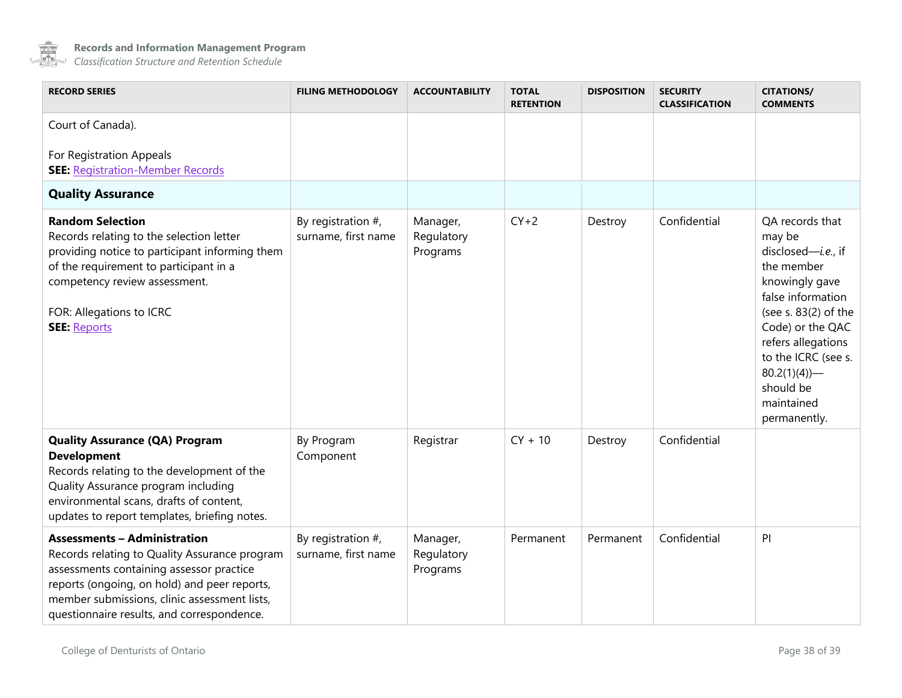

<span id="page-37-0"></span>

| <b>RECORD SERIES</b>                                                                                                                                                                                                                                                           | <b>FILING METHODOLOGY</b>                    | <b>ACCOUNTABILITY</b>              | <b>TOTAL</b><br><b>RETENTION</b> | <b>DISPOSITION</b> | <b>SECURITY</b><br><b>CLASSIFICATION</b> | <b>CITATIONS/</b><br><b>COMMENTS</b>                                                                                                                                                                                                                                |
|--------------------------------------------------------------------------------------------------------------------------------------------------------------------------------------------------------------------------------------------------------------------------------|----------------------------------------------|------------------------------------|----------------------------------|--------------------|------------------------------------------|---------------------------------------------------------------------------------------------------------------------------------------------------------------------------------------------------------------------------------------------------------------------|
| Court of Canada).                                                                                                                                                                                                                                                              |                                              |                                    |                                  |                    |                                          |                                                                                                                                                                                                                                                                     |
| For Registration Appeals<br><b>SEE: Registration-Member Records</b>                                                                                                                                                                                                            |                                              |                                    |                                  |                    |                                          |                                                                                                                                                                                                                                                                     |
| <b>Quality Assurance</b>                                                                                                                                                                                                                                                       |                                              |                                    |                                  |                    |                                          |                                                                                                                                                                                                                                                                     |
| <b>Random Selection</b><br>Records relating to the selection letter<br>providing notice to participant informing them<br>of the requirement to participant in a<br>competency review assessment.<br>FOR: Allegations to ICRC<br><b>SEE: Reports</b>                            | By registration $#$ ,<br>surname, first name | Manager,<br>Regulatory<br>Programs | $CY+2$                           | Destroy            | Confidential                             | QA records that<br>may be<br>disclosed- <i>i.e.</i> , if<br>the member<br>knowingly gave<br>false information<br>(see s. 83(2) of the<br>Code) or the QAC<br>refers allegations<br>to the ICRC (see s.<br>$80.2(1)(4)$ —<br>should be<br>maintained<br>permanently. |
| <b>Quality Assurance (QA) Program</b><br><b>Development</b><br>Records relating to the development of the<br>Quality Assurance program including<br>environmental scans, drafts of content,<br>updates to report templates, briefing notes.                                    | By Program<br>Component                      | Registrar                          | $CY + 10$                        | Destroy            | Confidential                             |                                                                                                                                                                                                                                                                     |
| <b>Assessments - Administration</b><br>Records relating to Quality Assurance program<br>assessments containing assessor practice<br>reports (ongoing, on hold) and peer reports,<br>member submissions, clinic assessment lists,<br>questionnaire results, and correspondence. | By registration $#$ ,<br>surname, first name | Manager,<br>Regulatory<br>Programs | Permanent                        | Permanent          | Confidential                             | PI                                                                                                                                                                                                                                                                  |